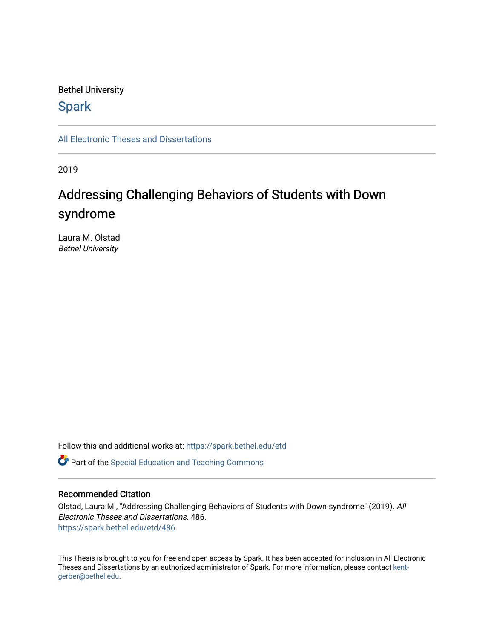### Bethel University

# **Spark**

[All Electronic Theses and Dissertations](https://spark.bethel.edu/etd) 

2019

# Addressing Challenging Behaviors of Students with Down syndrome

Laura M. Olstad Bethel University

Follow this and additional works at: [https://spark.bethel.edu/etd](https://spark.bethel.edu/etd?utm_source=spark.bethel.edu%2Fetd%2F486&utm_medium=PDF&utm_campaign=PDFCoverPages)

**C** Part of the Special Education and Teaching Commons

#### Recommended Citation

Olstad, Laura M., "Addressing Challenging Behaviors of Students with Down syndrome" (2019). All Electronic Theses and Dissertations. 486. [https://spark.bethel.edu/etd/486](https://spark.bethel.edu/etd/486?utm_source=spark.bethel.edu%2Fetd%2F486&utm_medium=PDF&utm_campaign=PDFCoverPages)

This Thesis is brought to you for free and open access by Spark. It has been accepted for inclusion in All Electronic Theses and Dissertations by an authorized administrator of Spark. For more information, please contact [kent](mailto:kent-gerber@bethel.edu)[gerber@bethel.edu.](mailto:kent-gerber@bethel.edu)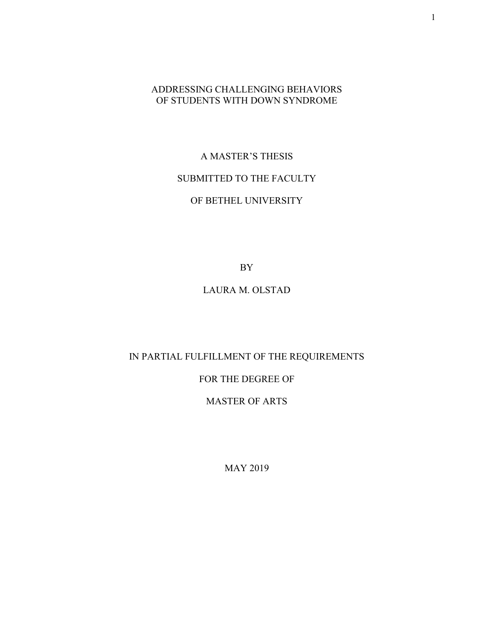## ADDRESSING CHALLENGING BEHAVIORS OF STUDENTS WITH DOWN SYNDROME

# A MASTER'S THESIS SUBMITTED TO THE FACULTY

# OF BETHEL UNIVERSITY

BY

# LAURA M. OLSTAD

## IN PARTIAL FULFILLMENT OF THE REQUIREMENTS

# FOR THE DEGREE OF

## MASTER OF ARTS

MAY 2019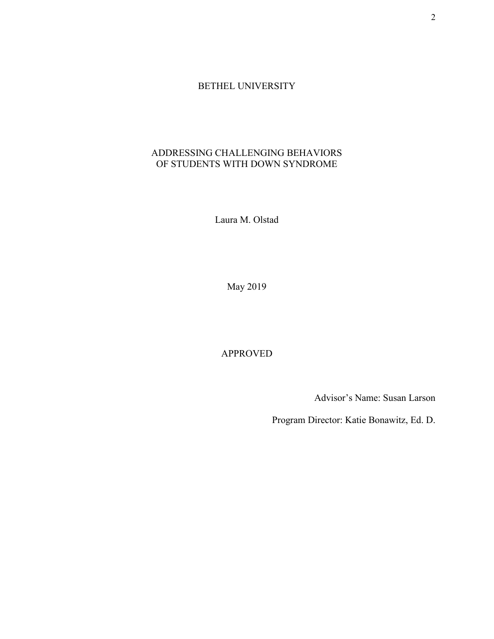## BETHEL UNIVERSITY

# ADDRESSING CHALLENGING BEHAVIORS OF STUDENTS WITH DOWN SYNDROME

Laura M. Olstad

May 2019

APPROVED

Advisor's Name: Susan Larson

Program Director: Katie Bonawitz, Ed. D.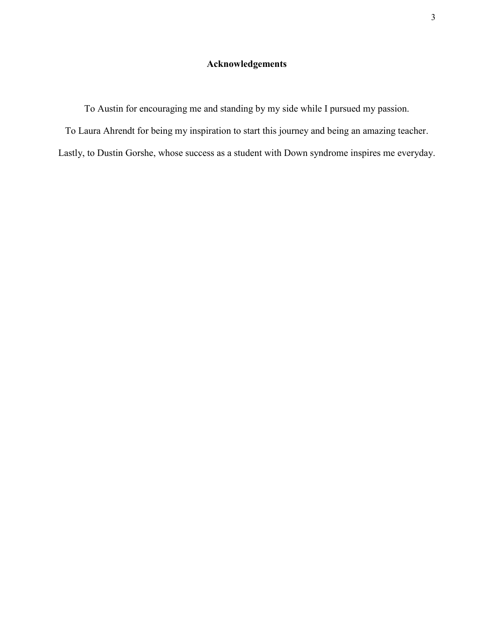# **Acknowledgements**

To Austin for encouraging me and standing by my side while I pursued my passion.

To Laura Ahrendt for being my inspiration to start this journey and being an amazing teacher.

Lastly, to Dustin Gorshe, whose success as a student with Down syndrome inspires me everyday.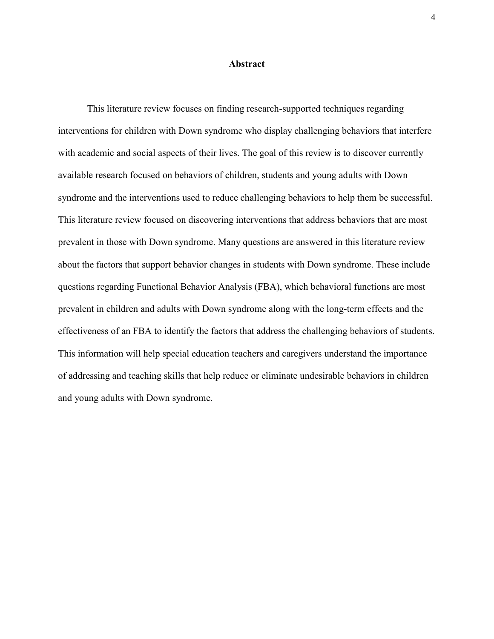#### **Abstract**

This literature review focuses on finding research-supported techniques regarding interventions for children with Down syndrome who display challenging behaviors that interfere with academic and social aspects of their lives. The goal of this review is to discover currently available research focused on behaviors of children, students and young adults with Down syndrome and the interventions used to reduce challenging behaviors to help them be successful. This literature review focused on discovering interventions that address behaviors that are most prevalent in those with Down syndrome. Many questions are answered in this literature review about the factors that support behavior changes in students with Down syndrome. These include questions regarding Functional Behavior Analysis (FBA), which behavioral functions are most prevalent in children and adults with Down syndrome along with the long-term effects and the effectiveness of an FBA to identify the factors that address the challenging behaviors of students. This information will help special education teachers and caregivers understand the importance of addressing and teaching skills that help reduce or eliminate undesirable behaviors in children and young adults with Down syndrome.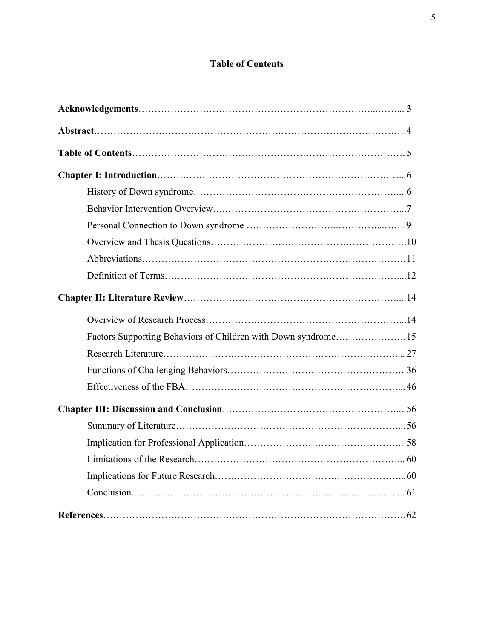# **Table of Contents**

| Factors Supporting Behaviors of Children with Down syndrome15 |  |
|---------------------------------------------------------------|--|
|                                                               |  |
|                                                               |  |
|                                                               |  |
|                                                               |  |
|                                                               |  |
|                                                               |  |
|                                                               |  |
|                                                               |  |
|                                                               |  |
|                                                               |  |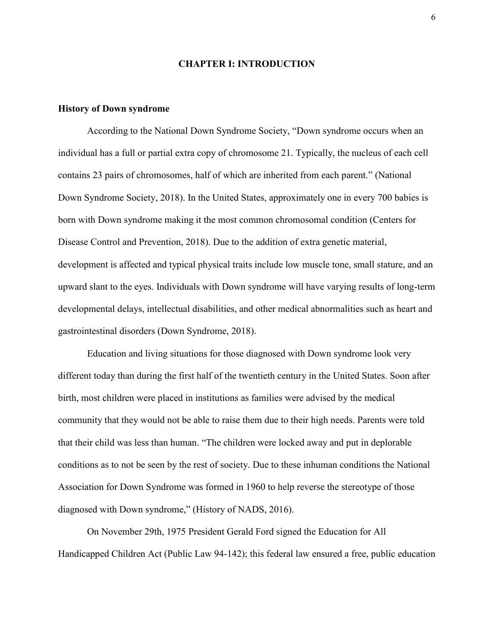#### **CHAPTER I: INTRODUCTION**

#### **History of Down syndrome**

According to the National Down Syndrome Society, "Down syndrome occurs when an individual has a full or partial extra copy of chromosome 21. Typically, the nucleus of each cell contains 23 pairs of chromosomes, half of which are inherited from each parent." (National Down Syndrome Society, 2018). In the United States, approximately one in every 700 babies is born with Down syndrome making it the most common chromosomal condition (Centers for Disease Control and Prevention, 2018). Due to the addition of extra genetic material, development is affected and typical physical traits include low muscle tone, small stature, and an upward slant to the eyes. Individuals with Down syndrome will have varying results of long-term developmental delays, intellectual disabilities, and other medical abnormalities such as heart and gastrointestinal disorders (Down Syndrome, 2018).

Education and living situations for those diagnosed with Down syndrome look very different today than during the first half of the twentieth century in the United States. Soon after birth, most children were placed in institutions as families were advised by the medical community that they would not be able to raise them due to their high needs. Parents were told that their child was less than human. "The children were locked away and put in deplorable conditions as to not be seen by the rest of society. Due to these inhuman conditions the National Association for Down Syndrome was formed in 1960 to help reverse the stereotype of those diagnosed with Down syndrome," (History of NADS, 2016).

On November 29th, 1975 President Gerald Ford signed the Education for All Handicapped Children Act (Public Law 94-142); this federal law ensured a free, public education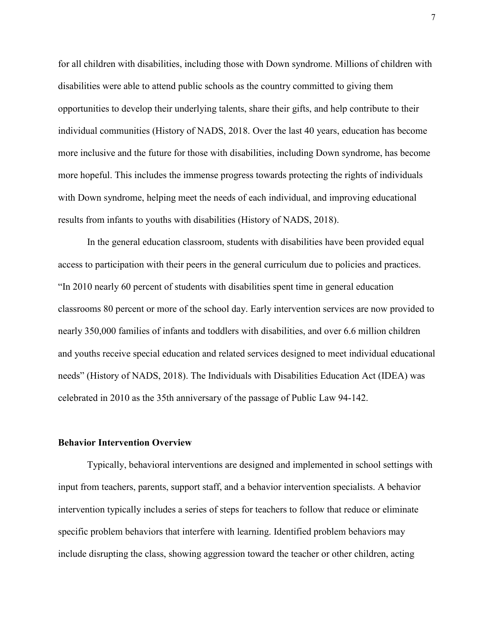for all children with disabilities, including those with Down syndrome. Millions of children with disabilities were able to attend public schools as the country committed to giving them opportunities to develop their underlying talents, share their gifts, and help contribute to their individual communities (History of NADS, 2018. Over the last 40 years, education has become more inclusive and the future for those with disabilities, including Down syndrome, has become more hopeful. This includes the immense progress towards protecting the rights of individuals with Down syndrome, helping meet the needs of each individual, and improving educational results from infants to youths with disabilities (History of NADS, 2018).

In the general education classroom, students with disabilities have been provided equal access to participation with their peers in the general curriculum due to policies and practices. "In 2010 nearly 60 percent of students with disabilities spent time in general education classrooms 80 percent or more of the school day. Early intervention services are now provided to nearly 350,000 families of infants and toddlers with disabilities, and over 6.6 million children and youths receive special education and related services designed to meet individual educational needs" (History of NADS, 2018). The Individuals with Disabilities Education Act (IDEA) was celebrated in 2010 as the 35th anniversary of the passage of Public Law 94-142.

#### **Behavior Intervention Overview**

Typically, behavioral interventions are designed and implemented in school settings with input from teachers, parents, support staff, and a behavior intervention specialists. A behavior intervention typically includes a series of steps for teachers to follow that reduce or eliminate specific problem behaviors that interfere with learning. Identified problem behaviors may include disrupting the class, showing aggression toward the teacher or other children, acting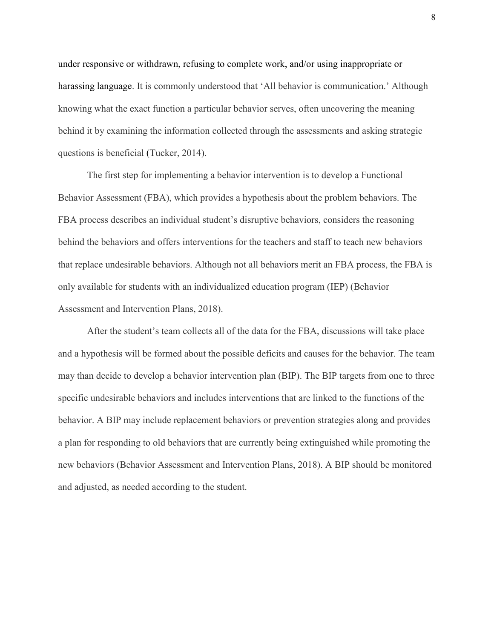under responsive or withdrawn, refusing to complete work, and/or using inappropriate or harassing language. It is commonly understood that 'All behavior is communication.' Although knowing what the exact function a particular behavior serves, often uncovering the meaning behind it by examining the information collected through the assessments and asking strategic questions is beneficial (Tucker, 2014).

The first step for implementing a behavior intervention is to develop a Functional Behavior Assessment (FBA), which provides a hypothesis about the problem behaviors. The FBA process describes an individual student's disruptive behaviors, considers the reasoning behind the behaviors and offers interventions for the teachers and staff to teach new behaviors that replace undesirable behaviors. Although not all behaviors merit an FBA process, the FBA is only available for students with an individualized education program (IEP) (Behavior Assessment and Intervention Plans, 2018).

After the student's team collects all of the data for the FBA, discussions will take place and a hypothesis will be formed about the possible deficits and causes for the behavior. The team may than decide to develop a behavior intervention plan (BIP). The BIP targets from one to three specific undesirable behaviors and includes interventions that are linked to the functions of the behavior. A BIP may include replacement behaviors or prevention strategies along and provides a plan for responding to old behaviors that are currently being extinguished while promoting the new behaviors (Behavior Assessment and Intervention Plans, 2018). A BIP should be monitored and adjusted, as needed according to the student.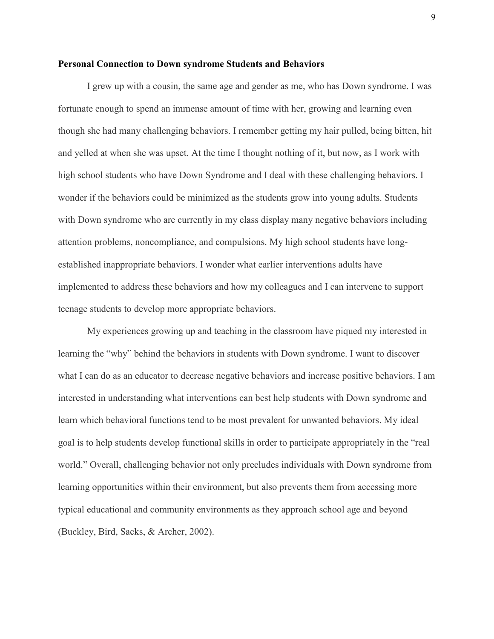#### **Personal Connection to Down syndrome Students and Behaviors**

I grew up with a cousin, the same age and gender as me, who has Down syndrome. I was fortunate enough to spend an immense amount of time with her, growing and learning even though she had many challenging behaviors. I remember getting my hair pulled, being bitten, hit and yelled at when she was upset. At the time I thought nothing of it, but now, as I work with high school students who have Down Syndrome and I deal with these challenging behaviors. I wonder if the behaviors could be minimized as the students grow into young adults. Students with Down syndrome who are currently in my class display many negative behaviors including attention problems, noncompliance, and compulsions. My high school students have longestablished inappropriate behaviors. I wonder what earlier interventions adults have implemented to address these behaviors and how my colleagues and I can intervene to support teenage students to develop more appropriate behaviors.

My experiences growing up and teaching in the classroom have piqued my interested in learning the "why" behind the behaviors in students with Down syndrome. I want to discover what I can do as an educator to decrease negative behaviors and increase positive behaviors. I am interested in understanding what interventions can best help students with Down syndrome and learn which behavioral functions tend to be most prevalent for unwanted behaviors. My ideal goal is to help students develop functional skills in order to participate appropriately in the "real world." Overall, challenging behavior not only precludes individuals with Down syndrome from learning opportunities within their environment, but also prevents them from accessing more typical educational and community environments as they approach school age and beyond (Buckley, Bird, Sacks, & Archer, 2002).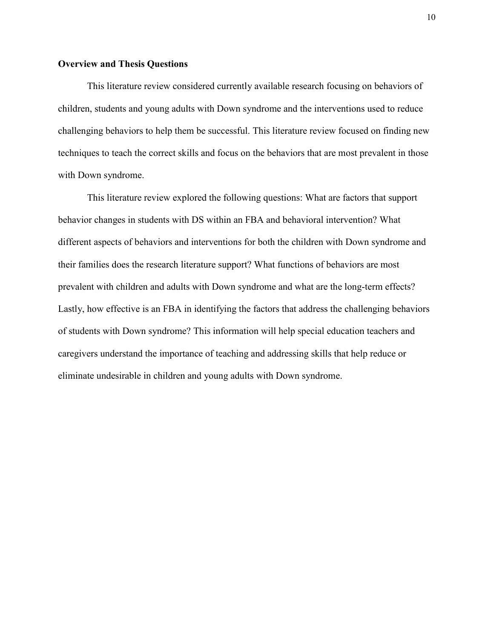#### **Overview and Thesis Questions**

This literature review considered currently available research focusing on behaviors of children, students and young adults with Down syndrome and the interventions used to reduce challenging behaviors to help them be successful. This literature review focused on finding new techniques to teach the correct skills and focus on the behaviors that are most prevalent in those with Down syndrome.

This literature review explored the following questions: What are factors that support behavior changes in students with DS within an FBA and behavioral intervention? What different aspects of behaviors and interventions for both the children with Down syndrome and their families does the research literature support? What functions of behaviors are most prevalent with children and adults with Down syndrome and what are the long-term effects? Lastly, how effective is an FBA in identifying the factors that address the challenging behaviors of students with Down syndrome? This information will help special education teachers and caregivers understand the importance of teaching and addressing skills that help reduce or eliminate undesirable in children and young adults with Down syndrome.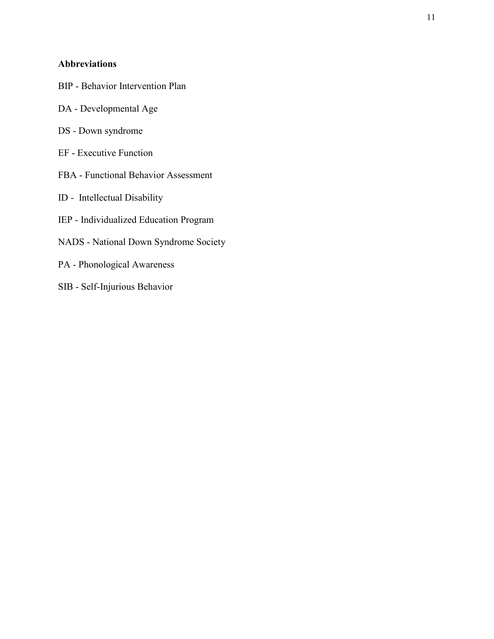## **Abbreviations**

- BIP Behavior Intervention Plan
- DA Developmental Age
- DS Down syndrome
- EF Executive Function
- FBA Functional Behavior Assessment
- ID Intellectual Disability
- IEP Individualized Education Program
- NADS National Down Syndrome Society
- PA Phonological Awareness
- SIB Self-Injurious Behavior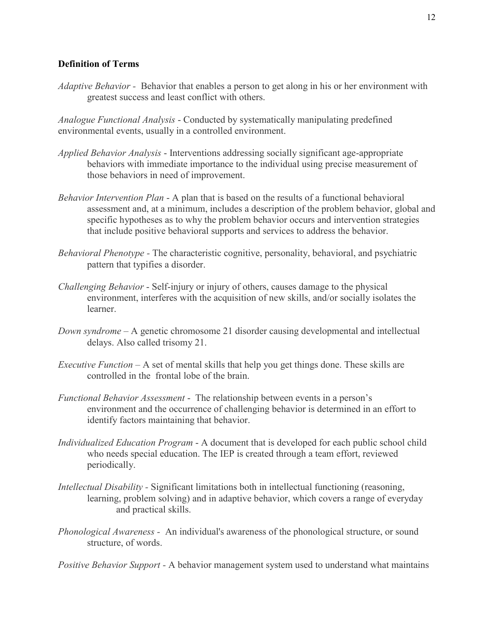## **Definition of Terms**

*Adaptive Behavior -* Behavior that enables a person to get along in his or her environment with greatest success and least conflict with others.

*Analogue Functional Analysis* - Conducted by systematically manipulating predefined environmental events, usually in a controlled environment.

- *Applied Behavior Analysis* Interventions addressing socially significant age-appropriate behaviors with immediate importance to the individual using precise measurement of those behaviors in need of improvement.
- *Behavior Intervention Plan*  A plan that is based on the results of a functional behavioral assessment and, at a minimum, includes a description of the problem behavior, global and specific hypotheses as to why the problem behavior occurs and intervention strategies that include positive behavioral supports and services to address the behavior.
- *Behavioral Phenotype -* The characteristic cognitive, personality, behavioral, and psychiatric pattern that typifies a disorder.
- *Challenging Behavior* Self-injury or injury of others, causes damage to the physical environment, interferes with the acquisition of new skills, and/or socially isolates the learner.
- *Down syndrome* A genetic chromosome 21 disorder causing developmental and intellectual delays. Also called trisomy 21.
- *Executive Function* A set of mental skills that help you get things done. These skills are controlled in the frontal lobe of the brain.
- *Functional Behavior Assessment* The relationship between events in a person's environment and the occurrence of challenging behavior is determined in an effort to identify factors maintaining that behavior.
- *Individualized Education Program*  A document that is developed for each [public school](https://en.wikipedia.org/wiki/State_school) child who needs special education. The IEP is created through a team effort, reviewed periodically.
- *Intellectual Disability Significant limitations both in intellectual functioning (reasoning,* learning, problem solving) and in adaptive behavior, which covers a range of everyday and practical skills.
- *Phonological Awareness -* An individual's awareness of the phonological structure, or sound structure, of words.

*Positive Behavior Support -* A behavior management system used to understand what maintains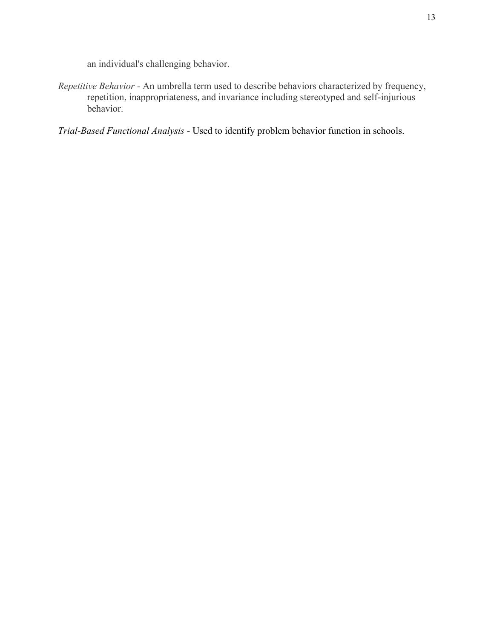an individual's challenging behavior.

*Repetitive Behavior -* An umbrella term used to describe behaviors characterized by frequency, repetition, inappropriateness, and invariance including stereotyped and self-injurious behavior.

*Trial-Based Functional Analysis -* Used to identify problem behavior function in schools.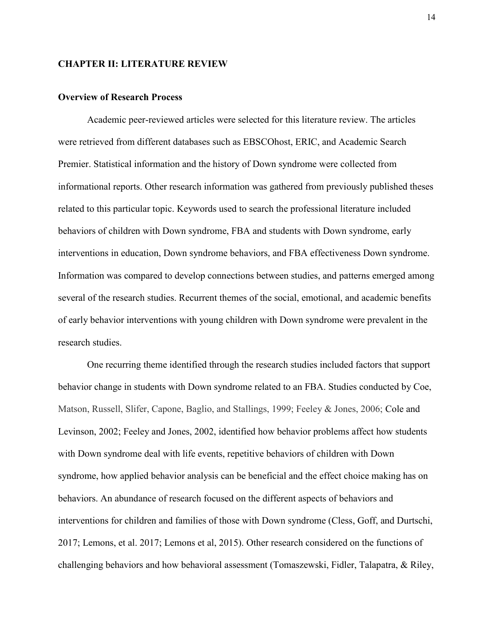#### **CHAPTER II: LITERATURE REVIEW**

#### **Overview of Research Process**

Academic peer-reviewed articles were selected for this literature review. The articles were retrieved from different databases such as EBSCOhost, ERIC, and Academic Search Premier. Statistical information and the history of Down syndrome were collected from informational reports. Other research information was gathered from previously published theses related to this particular topic. Keywords used to search the professional literature included behaviors of children with Down syndrome, FBA and students with Down syndrome, early interventions in education, Down syndrome behaviors, and FBA effectiveness Down syndrome. Information was compared to develop connections between studies, and patterns emerged among several of the research studies. Recurrent themes of the social, emotional, and academic benefits of early behavior interventions with young children with Down syndrome were prevalent in the research studies.

One recurring theme identified through the research studies included factors that support behavior change in students with Down syndrome related to an FBA. Studies conducted by Coe, Matson, Russell, Slifer, Capone, Baglio, and Stallings, 1999; Feeley & Jones, 2006; Cole and Levinson, 2002; Feeley and Jones, 2002, identified how behavior problems affect how students with Down syndrome deal with life events, repetitive behaviors of children with Down syndrome, how applied behavior analysis can be beneficial and the effect choice making has on behaviors. An abundance of research focused on the different aspects of behaviors and interventions for children and families of those with Down syndrome (Cless, Goff, and Durtschi, 2017; Lemons, et al. 2017; Lemons et al, 2015). Other research considered on the functions of challenging behaviors and how behavioral assessment (Tomaszewski, Fidler, Talapatra, & Riley,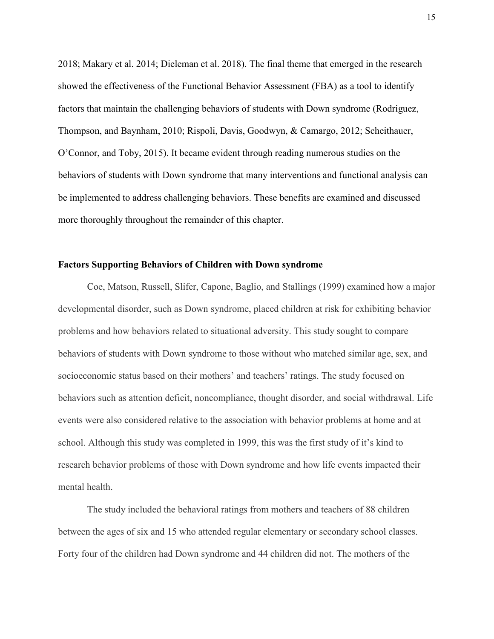2018; Makary et al. 2014; Dieleman et al. 2018). The final theme that emerged in the research showed the effectiveness of the Functional Behavior Assessment (FBA) as a tool to identify factors that maintain the challenging behaviors of students with Down syndrome (Rodriguez, Thompson, and Baynham, 2010; Rispoli, Davis, Goodwyn, & Camargo, 2012; Scheithauer, O'Connor, and Toby, 2015). It became evident through reading numerous studies on the behaviors of students with Down syndrome that many interventions and functional analysis can be implemented to address challenging behaviors. These benefits are examined and discussed more thoroughly throughout the remainder of this chapter.

#### **Factors Supporting Behaviors of Children with Down syndrome**

Coe, Matson, Russell, Slifer, Capone, Baglio, and Stallings (1999) examined how a major developmental disorder, such as Down syndrome, placed children at risk for exhibiting behavior problems and how behaviors related to situational adversity. This study sought to compare behaviors of students with Down syndrome to those without who matched similar age, sex, and socioeconomic status based on their mothers' and teachers' ratings. The study focused on behaviors such as attention deficit, noncompliance, thought disorder, and social withdrawal. Life events were also considered relative to the association with behavior problems at home and at school. Although this study was completed in 1999, this was the first study of it's kind to research behavior problems of those with Down syndrome and how life events impacted their mental health.

The study included the behavioral ratings from mothers and teachers of 88 children between the ages of six and 15 who attended regular elementary or secondary school classes. Forty four of the children had Down syndrome and 44 children did not. The mothers of the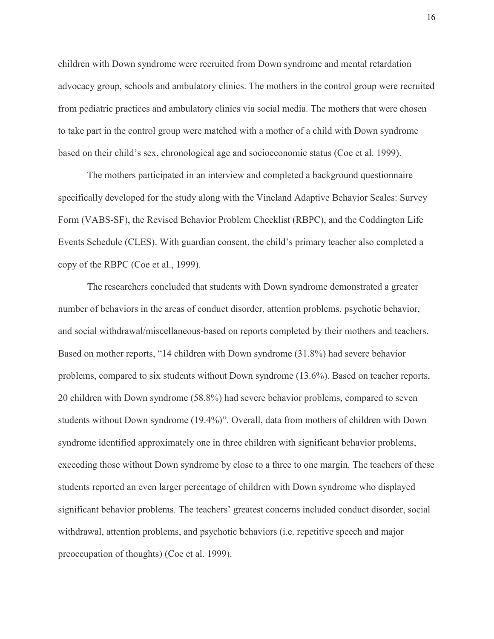children with Down syndrome were recruited from Down syndrome and mental retardation advocacy group, schools and ambulatory clinics. The mothers in the control group were recruited from pediatric practices and ambulatory clinics via social media. The mothers that were chosen to take part in the control group were matched with a mother of a child with Down syndrome based on their child's sex, chronological age and socioeconomic status (Coe et al. 1999).

The mothers participated in an interview and completed a background questionnaire specifically developed for the study along with the Vineland Adaptive Behavior Scales: Survey Form (VABS-SF), the Revised Behavior Problem Checklist (RBPC), and the Coddington Life Events Schedule (CLES). With guardian consent, the child's primary teacher also completed a copy of the RBPC (Coe et al., 1999).

The researchers concluded that students with Down syndrome demonstrated a greater number of behaviors in the areas of conduct disorder, attention problems, psychotic behavior, and social withdrawal/miscellaneous-based on reports completed by their mothers and teachers. Based on mother reports, "14 children with Down syndrome (31.8%) had severe behavior problems, compared to six students without Down syndrome (13.6%). Based on teacher reports, 20 children with Down syndrome (58.8%) had severe behavior problems, compared to seven students without Down syndrome (19.4%)". Overall, data from mothers of children with Down syndrome identified approximately one in three children with significant behavior problems, exceeding those without Down syndrome by close to a three to one margin. The teachers of these students reported an even larger percentage of children with Down syndrome who displayed significant behavior problems. The teachers' greatest concerns included conduct disorder, social withdrawal, attention problems, and psychotic behaviors (i.e. repetitive speech and major preoccupation of thoughts) (Coe et al. 1999).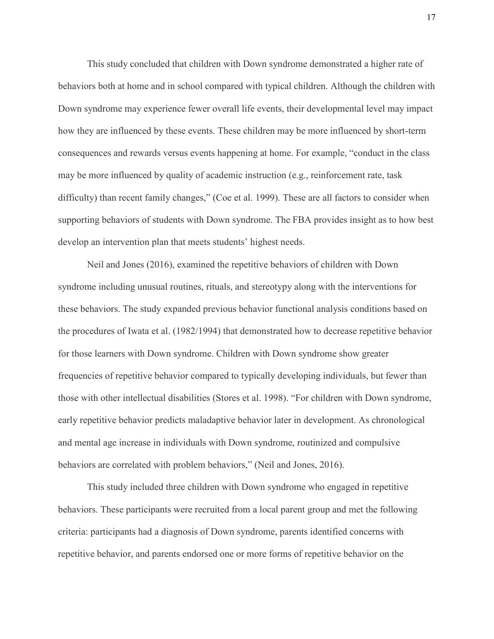This study concluded that children with Down syndrome demonstrated a higher rate of behaviors both at home and in school compared with typical children. Although the children with Down syndrome may experience fewer overall life events, their developmental level may impact how they are influenced by these events. These children may be more influenced by short-term consequences and rewards versus events happening at home. For example, "conduct in the class may be more influenced by quality of academic instruction (e.g., reinforcement rate, task difficulty) than recent family changes," (Coe et al. 1999). These are all factors to consider when supporting behaviors of students with Down syndrome. The FBA provides insight as to how best develop an intervention plan that meets students' highest needs.

Neil and Jones (2016), examined the repetitive behaviors of children with Down syndrome including unusual routines, rituals, and stereotypy along with the interventions for these behaviors. The study expanded previous behavior functional analysis conditions based on the procedures of Iwata et al. (1982/1994) that demonstrated how to decrease repetitive behavior for those learners with Down syndrome. Children with Down syndrome show greater frequencies of repetitive behavior compared to typically developing individuals, but fewer than those with other intellectual disabilities (Stores et al. 1998). "For children with Down syndrome, early repetitive behavior predicts maladaptive behavior later in development. As chronological and mental age increase in individuals with Down syndrome, routinized and compulsive behaviors are correlated with problem behaviors," (Neil and Jones, 2016).

This study included three children with Down syndrome who engaged in repetitive behaviors. These participants were recruited from a local parent group and met the following criteria: participants had a diagnosis of Down syndrome, parents identified concerns with repetitive behavior, and parents endorsed one or more forms of repetitive behavior on the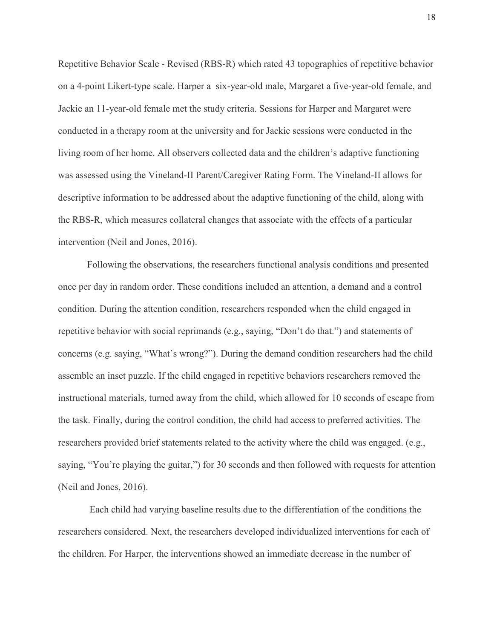Repetitive Behavior Scale - Revised (RBS-R) which rated 43 topographies of repetitive behavior on a 4-point Likert-type scale. Harper a six-year-old male, Margaret a five-year-old female, and Jackie an 11-year-old female met the study criteria. Sessions for Harper and Margaret were conducted in a therapy room at the university and for Jackie sessions were conducted in the living room of her home. All observers collected data and the children's adaptive functioning was assessed using the Vineland-II Parent/Caregiver Rating Form. The Vineland-II allows for descriptive information to be addressed about the adaptive functioning of the child, along with the RBS-R, which measures collateral changes that associate with the effects of a particular intervention (Neil and Jones, 2016).

Following the observations, the researchers functional analysis conditions and presented once per day in random order. These conditions included an attention, a demand and a control condition. During the attention condition, researchers responded when the child engaged in repetitive behavior with social reprimands (e.g., saying, "Don't do that.") and statements of concerns (e.g. saying, "What's wrong?"). During the demand condition researchers had the child assemble an inset puzzle. If the child engaged in repetitive behaviors researchers removed the instructional materials, turned away from the child, which allowed for 10 seconds of escape from the task. Finally, during the control condition, the child had access to preferred activities. The researchers provided brief statements related to the activity where the child was engaged. (e.g., saying, "You're playing the guitar,") for 30 seconds and then followed with requests for attention (Neil and Jones, 2016).

Each child had varying baseline results due to the differentiation of the conditions the researchers considered. Next, the researchers developed individualized interventions for each of the children. For Harper, the interventions showed an immediate decrease in the number of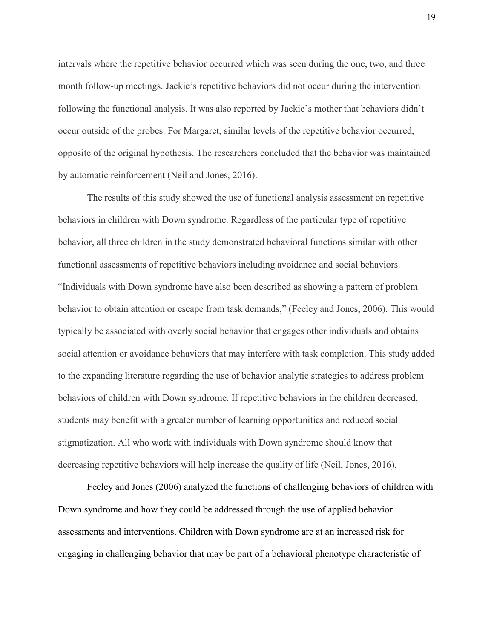intervals where the repetitive behavior occurred which was seen during the one, two, and three month follow-up meetings. Jackie's repetitive behaviors did not occur during the intervention following the functional analysis. It was also reported by Jackie's mother that behaviors didn't occur outside of the probes. For Margaret, similar levels of the repetitive behavior occurred, opposite of the original hypothesis. The researchers concluded that the behavior was maintained by automatic reinforcement (Neil and Jones, 2016).

The results of this study showed the use of functional analysis assessment on repetitive behaviors in children with Down syndrome. Regardless of the particular type of repetitive behavior, all three children in the study demonstrated behavioral functions similar with other functional assessments of repetitive behaviors including avoidance and social behaviors. "Individuals with Down syndrome have also been described as showing a pattern of problem behavior to obtain attention or escape from task demands," (Feeley and Jones, 2006). This would typically be associated with overly social behavior that engages other individuals and obtains social attention or avoidance behaviors that may interfere with task completion. This study added to the expanding literature regarding the use of behavior analytic strategies to address problem behaviors of children with Down syndrome. If repetitive behaviors in the children decreased, students may benefit with a greater number of learning opportunities and reduced social stigmatization. All who work with individuals with Down syndrome should know that decreasing repetitive behaviors will help increase the quality of life (Neil, Jones, 2016).

Feeley and Jones (2006) analyzed the functions of challenging behaviors of children with Down syndrome and how they could be addressed through the use of applied behavior assessments and interventions. Children with Down syndrome are at an increased risk for engaging in challenging behavior that may be part of a behavioral phenotype characteristic of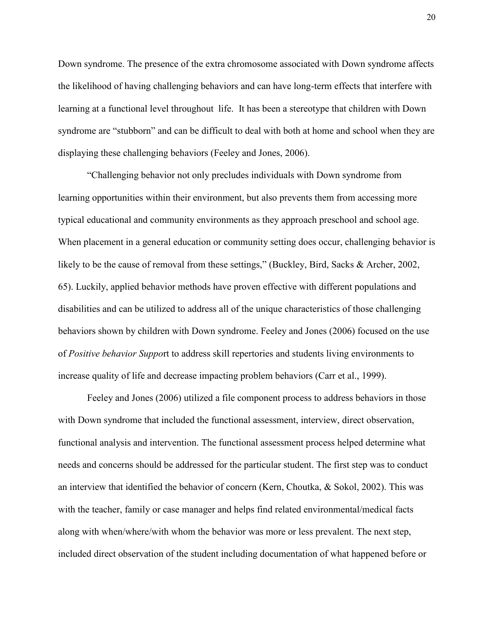Down syndrome. The presence of the extra chromosome associated with Down syndrome affects the likelihood of having challenging behaviors and can have long-term effects that interfere with learning at a functional level throughout life. It has been a stereotype that children with Down syndrome are "stubborn" and can be difficult to deal with both at home and school when they are displaying these challenging behaviors (Feeley and Jones, 2006).

"Challenging behavior not only precludes individuals with Down syndrome from learning opportunities within their environment, but also prevents them from accessing more typical educational and community environments as they approach preschool and school age. When placement in a general education or community setting does occur, challenging behavior is likely to be the cause of removal from these settings," (Buckley, Bird, Sacks & Archer, 2002, 65). Luckily, applied behavior methods have proven effective with different populations and disabilities and can be utilized to address all of the unique characteristics of those challenging behaviors shown by children with Down syndrome. Feeley and Jones (2006) focused on the use of *Positive behavior Suppo*rt to address skill repertories and students living environments to increase quality of life and decrease impacting problem behaviors (Carr et al., 1999).

Feeley and Jones (2006) utilized a file component process to address behaviors in those with Down syndrome that included the functional assessment, interview, direct observation, functional analysis and intervention. The functional assessment process helped determine what needs and concerns should be addressed for the particular student. The first step was to conduct an interview that identified the behavior of concern (Kern, Choutka, & Sokol, 2002). This was with the teacher, family or case manager and helps find related environmental/medical facts along with when/where/with whom the behavior was more or less prevalent. The next step, included direct observation of the student including documentation of what happened before or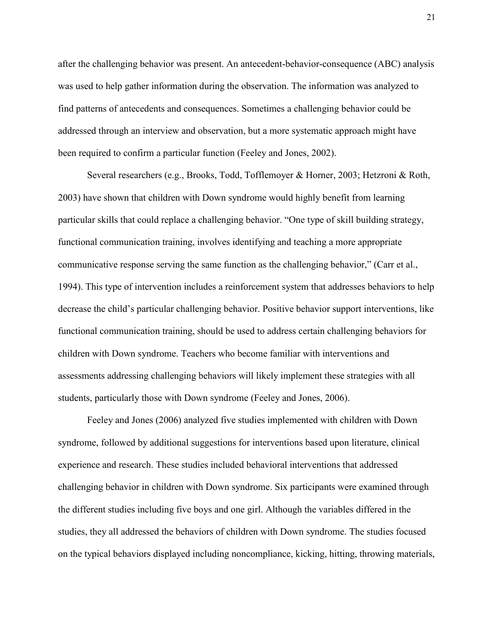after the challenging behavior was present. An antecedent-behavior-consequence (ABC) analysis was used to help gather information during the observation. The information was analyzed to find patterns of antecedents and consequences. Sometimes a challenging behavior could be addressed through an interview and observation, but a more systematic approach might have been required to confirm a particular function (Feeley and Jones, 2002).

Several researchers (e.g., [Brooks, Todd, Tofflemoyer & Horner, 2003;](https://library.down-syndrome.org/en-us/research-practice/11/2/addressing-challenging-behaviour-down-syndrome-applied-behaviour-analysis-assessment-intervention/#Brooks2003) Hetzroni & Roth, 2003) have shown that children with Down syndrome would highly benefit from learning particular skills that could replace a challenging behavior. "One type of skill building strategy, functional communication training, involves identifying and teaching a more appropriate communicative response serving the same function as the challenging behavior," (Carr et al., 1994). This type of intervention includes a reinforcement system that addresses behaviors to help decrease the child's particular challenging behavior. Positive behavior support interventions, like functional communication training, should be used to address certain challenging behaviors for children with Down syndrome. Teachers who become familiar with interventions and assessments addressing challenging behaviors will likely implement these strategies with all students, particularly those with Down syndrome (Feeley and Jones, 2006).

Feeley and Jones (2006) analyzed five studies implemented with children with Down syndrome, followed by additional suggestions for interventions based upon literature, clinical experience and research. These studies included behavioral interventions that addressed challenging behavior in children with Down syndrome. Six participants were examined through the different studies including five boys and one girl. Although the variables differed in the studies, they all addressed the behaviors of children with Down syndrome. The studies focused on the typical behaviors displayed including noncompliance, kicking, hitting, throwing materials,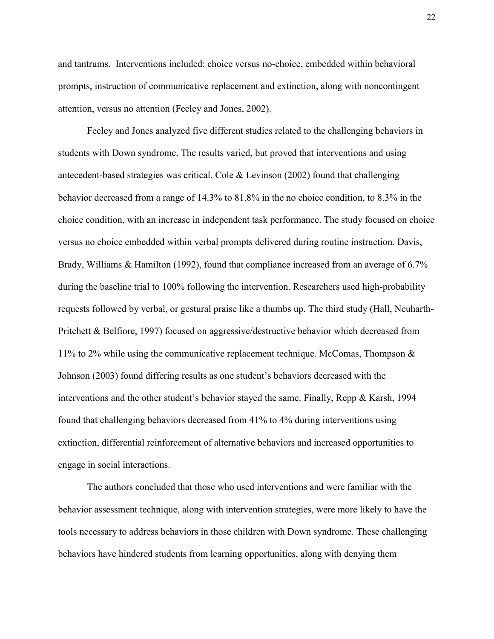and tantrums. Interventions included: choice versus no-choice, embedded within behavioral prompts, instruction of communicative replacement and extinction, along with noncontingent attention, versus no attention (Feeley and Jones, 2002).

Feeley and Jones analyzed five different studies related to the challenging behaviors in students with Down syndrome. The results varied, but proved that interventions and using antecedent-based strategies was critical. Cole & Levinson (2002) found that challenging behavior decreased from a range of 14.3% to 81.8% in the no choice condition, to 8.3% in the choice condition, with an increase in independent task performance. The study focused on choice versus no choice embedded within verbal prompts delivered during routine instruction. Davis, Brady, Williams & Hamilton (1992), found that compliance increased from an average of 6.7% during the baseline trial to 100% following the intervention. Researchers used high-probability requests followed by verbal, or gestural praise like a thumbs up. The third study (Hall, Neuharth-Pritchett & Belfiore, 1997) focused on aggressive/destructive behavior which decreased from 11% to 2% while using the communicative replacement technique. McComas, Thompson  $\&$ Johnson (2003) found differing results as one student's behaviors decreased with the interventions and the other student's behavior stayed the same. Finally, Repp & Karsh, 1994 found that challenging behaviors decreased from 41% to 4% during interventions using extinction, differential reinforcement of alternative behaviors and increased opportunities to engage in social interactions.

The authors concluded that those who used interventions and were familiar with the behavior assessment technique, along with intervention strategies, were more likely to have the tools necessary to address behaviors in those children with Down syndrome. These challenging behaviors have hindered students from learning opportunities, along with denying them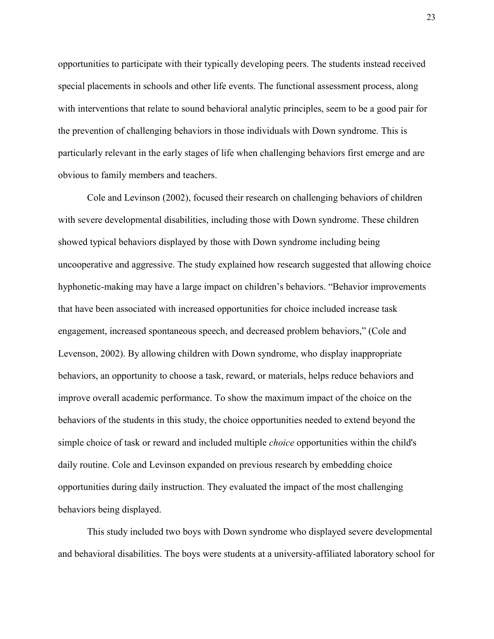opportunities to participate with their typically developing peers. The students instead received special placements in schools and other life events. The functional assessment process, along with interventions that relate to sound behavioral analytic principles, seem to be a good pair for the prevention of challenging behaviors in those individuals with Down syndrome. This is particularly relevant in the early stages of life when challenging behaviors first emerge and are obvious to family members and teachers.

Cole and Levinson (2002), focused their research on challenging behaviors of children with severe developmental disabilities, including those with Down syndrome. These children showed typical behaviors displayed by those with Down syndrome including being uncooperative and aggressive. The study explained how research suggested that allowing choice hyphonetic-making may have a large impact on children's behaviors. "Behavior improvements that have been associated with increased opportunities for choice included increase task engagement, increased spontaneous speech, and decreased problem behaviors," (Cole and Levenson, 2002). By allowing children with Down syndrome, who display inappropriate behaviors, an opportunity to choose a task, reward, or materials, helps reduce behaviors and improve overall academic performance. To show the maximum impact of the choice on the behaviors of the students in this study, the choice opportunities needed to extend beyond the simple choice of task or reward and included multiple *choice* opportunities within the child's daily routine. Cole and Levinson expanded on previous research by embedding choice opportunities during daily instruction. They evaluated the impact of the most challenging behaviors being displayed.

This study included two boys with Down syndrome who displayed severe developmental and behavioral disabilities. The boys were students at a university-affiliated laboratory school for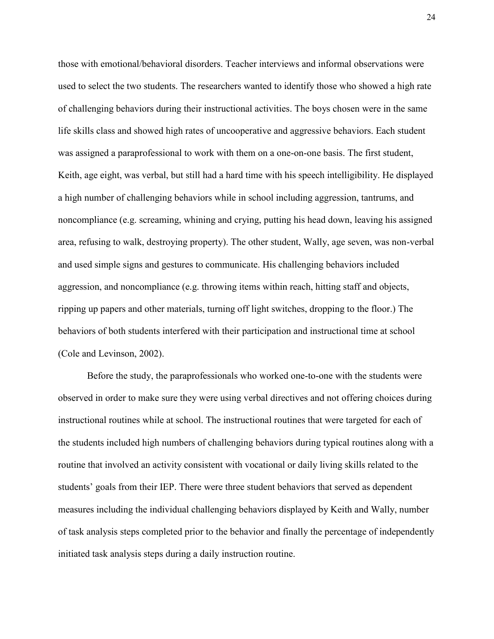those with emotional/behavioral disorders. Teacher interviews and informal observations were used to select the two students. The researchers wanted to identify those who showed a high rate of challenging behaviors during their instructional activities. The boys chosen were in the same life skills class and showed high rates of uncooperative and aggressive behaviors. Each student was assigned a paraprofessional to work with them on a one-on-one basis. The first student, Keith, age eight, was verbal, but still had a hard time with his speech intelligibility. He displayed a high number of challenging behaviors while in school including aggression, tantrums, and noncompliance (e.g. screaming, whining and crying, putting his head down, leaving his assigned area, refusing to walk, destroying property). The other student, Wally, age seven, was non-verbal and used simple signs and gestures to communicate. His challenging behaviors included aggression, and noncompliance (e.g. throwing items within reach, hitting staff and objects, ripping up papers and other materials, turning off light switches, dropping to the floor.) The behaviors of both students interfered with their participation and instructional time at school (Cole and Levinson, 2002).

Before the study, the paraprofessionals who worked one-to-one with the students were observed in order to make sure they were using verbal directives and not offering choices during instructional routines while at school. The instructional routines that were targeted for each of the students included high numbers of challenging behaviors during typical routines along with a routine that involved an activity consistent with vocational or daily living skills related to the students' goals from their IEP. There were three student behaviors that served as dependent measures including the individual challenging behaviors displayed by Keith and Wally, number of task analysis steps completed prior to the behavior and finally the percentage of independently initiated task analysis steps during a daily instruction routine.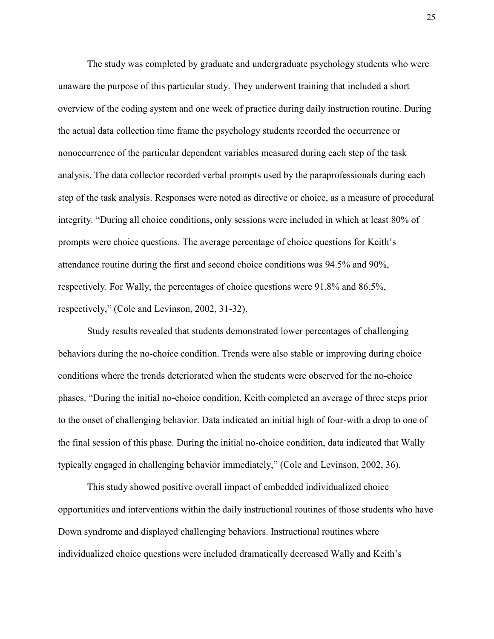The study was completed by graduate and undergraduate psychology students who were unaware the purpose of this particular study. They underwent training that included a short overview of the coding system and one week of practice during daily instruction routine. During the actual data collection time frame the psychology students recorded the occurrence or nonoccurrence of the particular dependent variables measured during each step of the task analysis. The data collector recorded verbal prompts used by the paraprofessionals during each step of the task analysis. Responses were noted as directive or choice, as a measure of procedural integrity. "During all choice conditions, only sessions were included in which at least 80% of prompts were choice questions. The average percentage of choice questions for Keith's attendance routine during the first and second choice conditions was 94.5% and 90%, respectively. For Wally, the percentages of choice questions were 91.8% and 86.5%, respectively," (Cole and Levinson, 2002, 31-32).

Study results revealed that students demonstrated lower percentages of challenging behaviors during the no-choice condition. Trends were also stable or improving during choice conditions where the trends deteriorated when the students were observed for the no-choice phases. "During the initial no-choice condition, Keith completed an average of three steps prior to the onset of challenging behavior. Data indicated an initial high of four-with a drop to one of the final session of this phase. During the initial no-choice condition, data indicated that Wally typically engaged in challenging behavior immediately," (Cole and Levinson, 2002, 36).

This study showed positive overall impact of embedded individualized choice opportunities and interventions within the daily instructional routines of those students who have Down syndrome and displayed challenging behaviors. Instructional routines where individualized choice questions were included dramatically decreased Wally and Keith's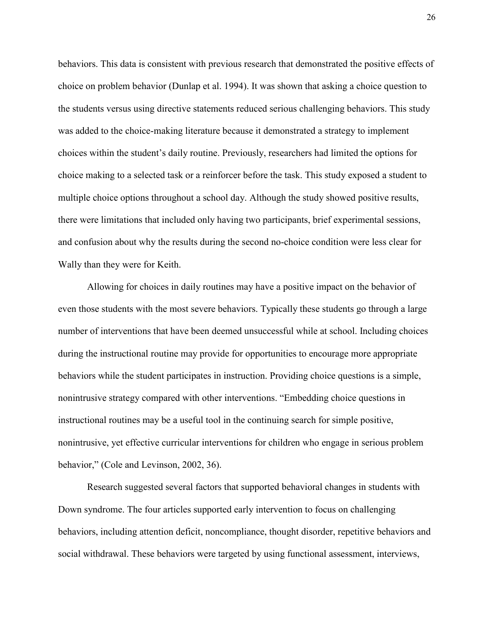behaviors. This data is consistent with previous research that demonstrated the positive effects of choice on problem behavior (Dunlap et al. 1994). It was shown that asking a choice question to the students versus using directive statements reduced serious challenging behaviors. This study was added to the choice-making literature because it demonstrated a strategy to implement choices within the student's daily routine. Previously, researchers had limited the options for choice making to a selected task or a reinforcer before the task. This study exposed a student to multiple choice options throughout a school day. Although the study showed positive results, there were limitations that included only having two participants, brief experimental sessions, and confusion about why the results during the second no-choice condition were less clear for Wally than they were for Keith.

Allowing for choices in daily routines may have a positive impact on the behavior of even those students with the most severe behaviors. Typically these students go through a large number of interventions that have been deemed unsuccessful while at school. Including choices during the instructional routine may provide for opportunities to encourage more appropriate behaviors while the student participates in instruction. Providing choice questions is a simple, nonintrusive strategy compared with other interventions. "Embedding choice questions in instructional routines may be a useful tool in the continuing search for simple positive, nonintrusive, yet effective curricular interventions for children who engage in serious problem behavior," (Cole and Levinson, 2002, 36).

Research suggested several factors that supported behavioral changes in students with Down syndrome. The four articles supported early intervention to focus on challenging behaviors, including attention deficit, noncompliance, thought disorder, repetitive behaviors and social withdrawal. These behaviors were targeted by using functional assessment, interviews,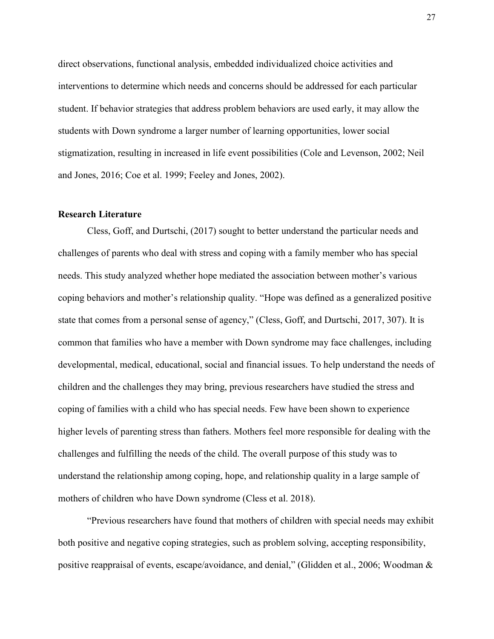direct observations, functional analysis, embedded individualized choice activities and interventions to determine which needs and concerns should be addressed for each particular student. If behavior strategies that address problem behaviors are used early, it may allow the students with Down syndrome a larger number of learning opportunities, lower social stigmatization, resulting in increased in life event possibilities (Cole and Levenson, 2002; Neil and Jones, 2016; Coe et al. 1999; Feeley and Jones, 2002).

## **Research Literature**

Cless, Goff, and Durtschi, (2017) sought to better understand the particular needs and challenges of parents who deal with stress and coping with a family member who has special needs. This study analyzed whether hope mediated the association between mother's various coping behaviors and mother's relationship quality. "Hope was defined as a generalized positive state that comes from a personal sense of agency," (Cless, Goff, and Durtschi, 2017, 307). It is common that families who have a member with Down syndrome may face challenges, including developmental, medical, educational, social and financial issues. To help understand the needs of children and the challenges they may bring, previous researchers have studied the stress and coping of families with a child who has special needs. Few have been shown to experience higher levels of parenting stress than fathers. Mothers feel more responsible for dealing with the challenges and fulfilling the needs of the child. The overall purpose of this study was to understand the relationship among coping, hope, and relationship quality in a large sample of mothers of children who have Down syndrome (Cless et al. 2018).

"Previous researchers have found that mothers of children with special needs may exhibit both positive and negative coping strategies, such as problem solving, accepting responsibility, positive reappraisal of events, escape/avoidance, and denial," (Glidden et al., 2006; Woodman &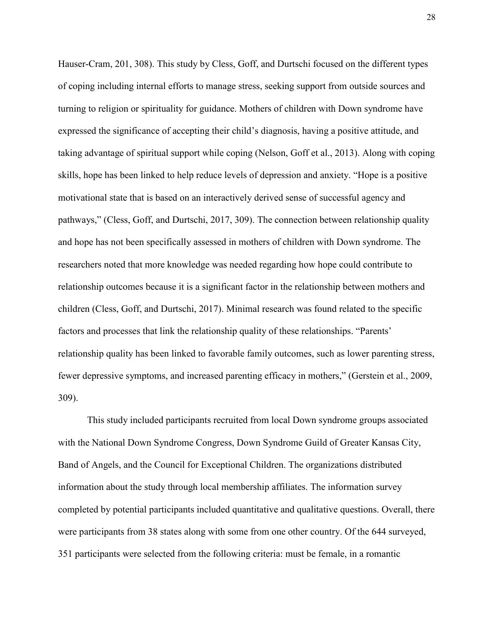Hauser-Cram, 201, 308). This study by Cless, Goff, and Durtschi focused on the different types of coping including internal efforts to manage stress, seeking support from outside sources and turning to religion or spirituality for guidance. Mothers of children with Down syndrome have expressed the significance of accepting their child's diagnosis, having a positive attitude, and taking advantage of spiritual support while coping (Nelson, Goff et al., 2013). Along with coping skills, hope has been linked to help reduce levels of depression and anxiety. "Hope is a positive motivational state that is based on an interactively derived sense of successful agency and pathways," (Cless, Goff, and Durtschi, 2017, 309). The connection between relationship quality and hope has not been specifically assessed in mothers of children with Down syndrome. The researchers noted that more knowledge was needed regarding how hope could contribute to relationship outcomes because it is a significant factor in the relationship between mothers and children (Cless, Goff, and Durtschi, 2017). Minimal research was found related to the specific factors and processes that link the relationship quality of these relationships. "Parents' relationship quality has been linked to favorable family outcomes, such as lower parenting stress, fewer depressive symptoms, and increased parenting efficacy in mothers," (Gerstein et al., 2009, 309).

This study included participants recruited from local Down syndrome groups associated with the National Down Syndrome Congress, Down Syndrome Guild of Greater Kansas City, Band of Angels, and the Council for Exceptional Children. The organizations distributed information about the study through local membership affiliates. The information survey completed by potential participants included quantitative and qualitative questions. Overall, there were participants from 38 states along with some from one other country. Of the 644 surveyed, 351 participants were selected from the following criteria: must be female, in a romantic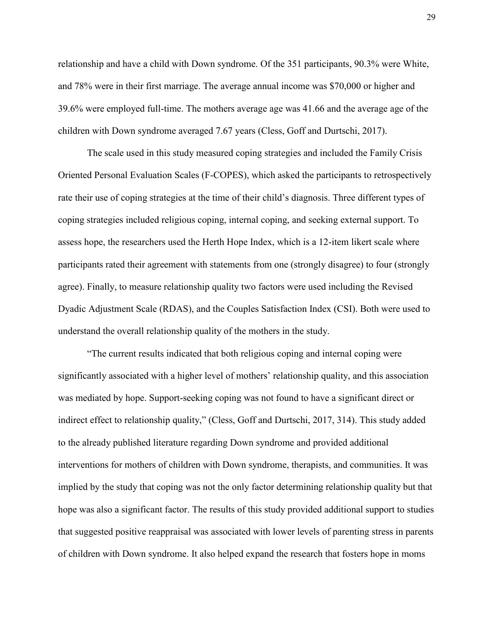relationship and have a child with Down syndrome. Of the 351 participants, 90.3% were White, and 78% were in their first marriage. The average annual income was \$70,000 or higher and 39.6% were employed full-time. The mothers average age was 41.66 and the average age of the children with Down syndrome averaged 7.67 years (Cless, Goff and Durtschi, 2017).

The scale used in this study measured coping strategies and included the Family Crisis Oriented Personal Evaluation Scales (F-COPES), which asked the participants to retrospectively rate their use of coping strategies at the time of their child's diagnosis. Three different types of coping strategies included religious coping, internal coping, and seeking external support. To assess hope, the researchers used the Herth Hope Index, which is a 12-item likert scale where participants rated their agreement with statements from one (strongly disagree) to four (strongly agree). Finally, to measure relationship quality two factors were used including the Revised Dyadic Adjustment Scale (RDAS), and the Couples Satisfaction Index (CSI). Both were used to understand the overall relationship quality of the mothers in the study.

"The current results indicated that both religious coping and internal coping were significantly associated with a higher level of mothers' relationship quality, and this association was mediated by hope. Support-seeking coping was not found to have a significant direct or indirect effect to relationship quality," (Cless, Goff and Durtschi, 2017, 314). This study added to the already published literature regarding Down syndrome and provided additional interventions for mothers of children with Down syndrome, therapists, and communities. It was implied by the study that coping was not the only factor determining relationship quality but that hope was also a significant factor. The results of this study provided additional support to studies that suggested positive reappraisal was associated with lower levels of parenting stress in parents of children with Down syndrome. It also helped expand the research that fosters hope in moms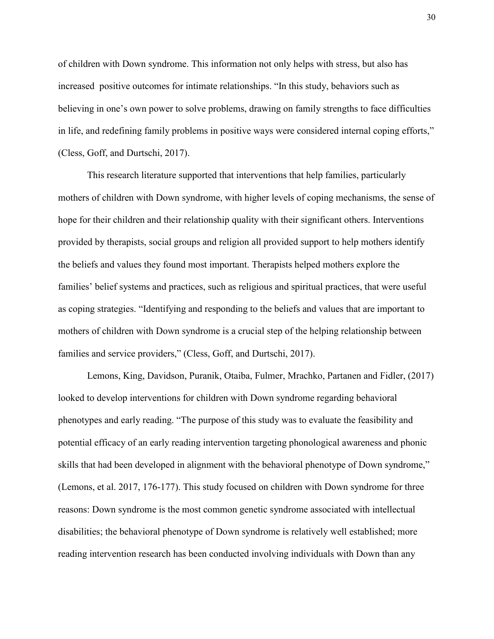of children with Down syndrome. This information not only helps with stress, but also has increased positive outcomes for intimate relationships. "In this study, behaviors such as believing in one's own power to solve problems, drawing on family strengths to face difficulties in life, and redefining family problems in positive ways were considered internal coping efforts," (Cless, Goff, and Durtschi, 2017).

This research literature supported that interventions that help families, particularly mothers of children with Down syndrome, with higher levels of coping mechanisms, the sense of hope for their children and their relationship quality with their significant others. Interventions provided by therapists, social groups and religion all provided support to help mothers identify the beliefs and values they found most important. Therapists helped mothers explore the families' belief systems and practices, such as religious and spiritual practices, that were useful as coping strategies. "Identifying and responding to the beliefs and values that are important to mothers of children with Down syndrome is a crucial step of the helping relationship between families and service providers," (Cless, Goff, and Durtschi, 2017).

Lemons, King, Davidson, Puranik, Otaiba, Fulmer, Mrachko, Partanen and Fidler, (2017) looked to develop interventions for children with Down syndrome regarding behavioral phenotypes and early reading. "The purpose of this study was to evaluate the feasibility and potential efficacy of an early reading intervention targeting phonological awareness and phonic skills that had been developed in alignment with the behavioral phenotype of Down syndrome," (Lemons, et al. 2017, 176-177). This study focused on children with Down syndrome for three reasons: Down syndrome is the most common genetic syndrome associated with intellectual disabilities; the behavioral phenotype of Down syndrome is relatively well established; more reading intervention research has been conducted involving individuals with Down than any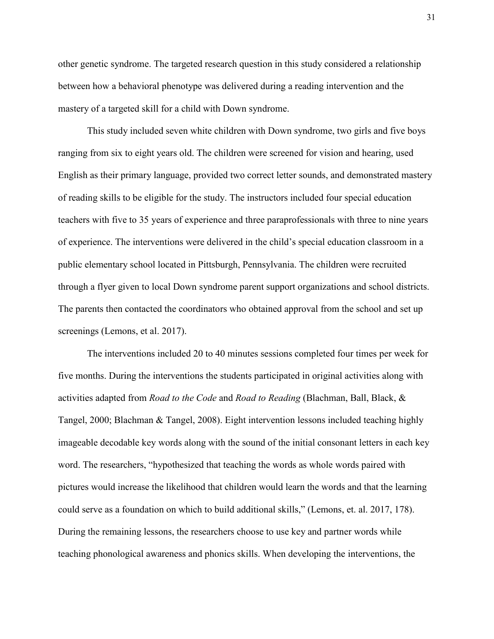other genetic syndrome. The targeted research question in this study considered a relationship between how a behavioral phenotype was delivered during a reading intervention and the mastery of a targeted skill for a child with Down syndrome.

This study included seven white children with Down syndrome, two girls and five boys ranging from six to eight years old. The children were screened for vision and hearing, used English as their primary language, provided two correct letter sounds, and demonstrated mastery of reading skills to be eligible for the study. The instructors included four special education teachers with five to 35 years of experience and three paraprofessionals with three to nine years of experience. The interventions were delivered in the child's special education classroom in a public elementary school located in Pittsburgh, Pennsylvania. The children were recruited through a flyer given to local Down syndrome parent support organizations and school districts. The parents then contacted the coordinators who obtained approval from the school and set up screenings (Lemons, et al. 2017).

The interventions included 20 to 40 minutes sessions completed four times per week for five months. During the interventions the students participated in original activities along with activities adapted from *Road to the Code* and *Road to Reading* (Blachman, Ball, Black, & Tangel, 2000; Blachman & Tangel, 2008). Eight intervention lessons included teaching highly imageable decodable key words along with the sound of the initial consonant letters in each key word. The researchers, "hypothesized that teaching the words as whole words paired with pictures would increase the likelihood that children would learn the words and that the learning could serve as a foundation on which to build additional skills," (Lemons, et. al. 2017, 178). During the remaining lessons, the researchers choose to use key and partner words while teaching phonological awareness and phonics skills. When developing the interventions, the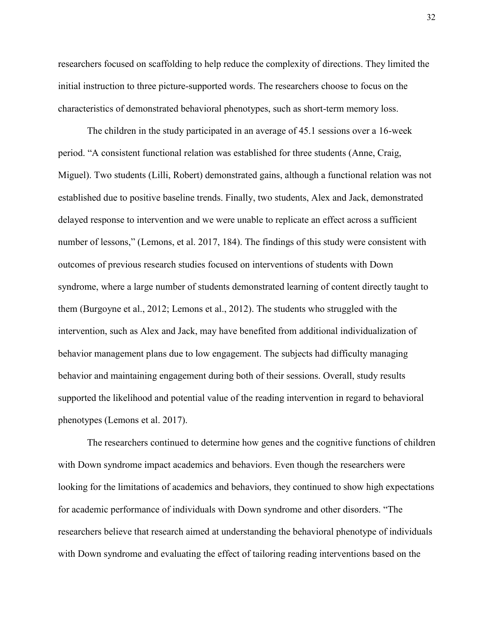researchers focused on scaffolding to help reduce the complexity of directions. They limited the initial instruction to three picture-supported words. The researchers choose to focus on the characteristics of demonstrated behavioral phenotypes, such as short-term memory loss.

The children in the study participated in an average of 45.1 sessions over a 16-week period. "A consistent functional relation was established for three students (Anne, Craig, Miguel). Two students (Lilli, Robert) demonstrated gains, although a functional relation was not established due to positive baseline trends. Finally, two students, Alex and Jack, demonstrated delayed response to intervention and we were unable to replicate an effect across a sufficient number of lessons," (Lemons, et al. 2017, 184). The findings of this study were consistent with outcomes of previous research studies focused on interventions of students with Down syndrome, where a large number of students demonstrated learning of content directly taught to them (Burgoyne et al., 2012; Lemons et al., 2012). The students who struggled with the intervention, such as Alex and Jack, may have benefited from additional individualization of behavior management plans due to low engagement. The subjects had difficulty managing behavior and maintaining engagement during both of their sessions. Overall, study results supported the likelihood and potential value of the reading intervention in regard to behavioral phenotypes (Lemons et al. 2017).

The researchers continued to determine how genes and the cognitive functions of children with Down syndrome impact academics and behaviors. Even though the researchers were looking for the limitations of academics and behaviors, they continued to show high expectations for academic performance of individuals with Down syndrome and other disorders. "The researchers believe that research aimed at understanding the behavioral phenotype of individuals with Down syndrome and evaluating the effect of tailoring reading interventions based on the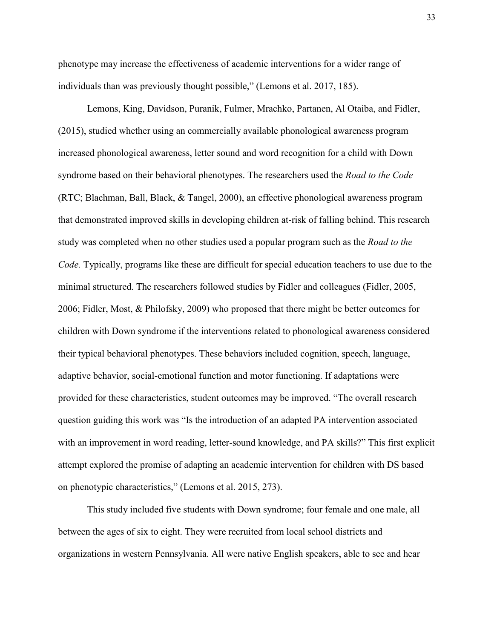phenotype may increase the effectiveness of academic interventions for a wider range of individuals than was previously thought possible," (Lemons et al. 2017, 185).

Lemons, King, Davidson, Puranik, Fulmer, Mrachko, Partanen, Al Otaiba, and Fidler, (2015), studied whether using an commercially available phonological awareness program increased phonological awareness, letter sound and word recognition for a child with Down syndrome based on their behavioral phenotypes. The researchers used the *Road to the Code* (RTC; Blachman, Ball, Black, & Tangel, 2000), an effective phonological awareness program that demonstrated improved skills in developing children at-risk of falling behind. This research study was completed when no other studies used a popular program such as the *Road to the Code.* Typically, programs like these are difficult for special education teachers to use due to the minimal structured. The researchers followed studies by Fidler and colleagues (Fidler, 2005, 2006; Fidler, Most, & Philofsky, 2009) who proposed that there might be better outcomes for children with Down syndrome if the interventions related to phonological awareness considered their typical behavioral phenotypes. These behaviors included cognition, speech, language, adaptive behavior, social-emotional function and motor functioning. If adaptations were provided for these characteristics, student outcomes may be improved. "The overall research question guiding this work was "Is the introduction of an adapted PA intervention associated with an improvement in word reading, letter-sound knowledge, and PA skills?" This first explicit attempt explored the promise of adapting an academic intervention for children with DS based on phenotypic characteristics," (Lemons et al. 2015, 273).

This study included five students with Down syndrome; four female and one male, all between the ages of six to eight. They were recruited from local school districts and organizations in western Pennsylvania. All were native English speakers, able to see and hear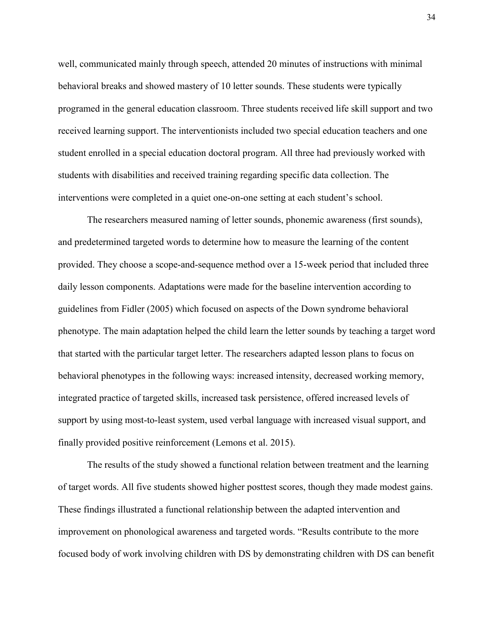well, communicated mainly through speech, attended 20 minutes of instructions with minimal behavioral breaks and showed mastery of 10 letter sounds. These students were typically programed in the general education classroom. Three students received life skill support and two received learning support. The interventionists included two special education teachers and one student enrolled in a special education doctoral program. All three had previously worked with students with disabilities and received training regarding specific data collection. The interventions were completed in a quiet one-on-one setting at each student's school.

The researchers measured naming of letter sounds, phonemic awareness (first sounds), and predetermined targeted words to determine how to measure the learning of the content provided. They choose a scope-and-sequence method over a 15-week period that included three daily lesson components. Adaptations were made for the baseline intervention according to guidelines from Fidler (2005) which focused on aspects of the Down syndrome behavioral phenotype. The main adaptation helped the child learn the letter sounds by teaching a target word that started with the particular target letter. The researchers adapted lesson plans to focus on behavioral phenotypes in the following ways: increased intensity, decreased working memory, integrated practice of targeted skills, increased task persistence, offered increased levels of support by using most-to-least system, used verbal language with increased visual support, and finally provided positive reinforcement (Lemons et al. 2015).

The results of the study showed a functional relation between treatment and the learning of target words. All five students showed higher posttest scores, though they made modest gains. These findings illustrated a functional relationship between the adapted intervention and improvement on phonological awareness and targeted words. "Results contribute to the more focused body of work involving children with DS by demonstrating children with DS can benefit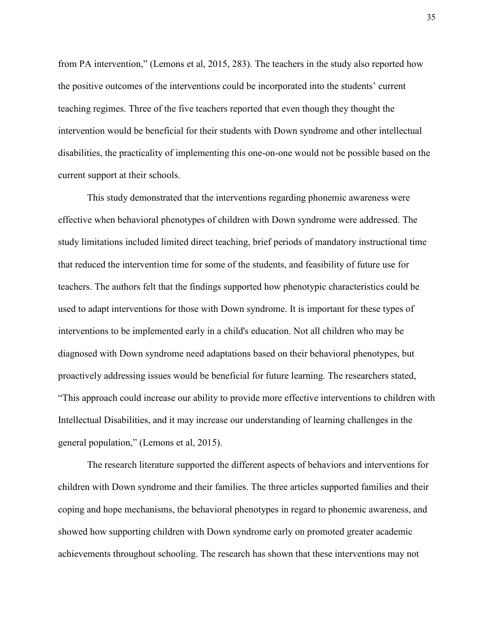from PA intervention," (Lemons et al, 2015, 283). The teachers in the study also reported how the positive outcomes of the interventions could be incorporated into the students' current teaching regimes. Three of the five teachers reported that even though they thought the intervention would be beneficial for their students with Down syndrome and other intellectual disabilities, the practicality of implementing this one-on-one would not be possible based on the current support at their schools.

This study demonstrated that the interventions regarding phonemic awareness were effective when behavioral phenotypes of children with Down syndrome were addressed. The study limitations included limited direct teaching, brief periods of mandatory instructional time that reduced the intervention time for some of the students, and feasibility of future use for teachers. The authors felt that the findings supported how phenotypic characteristics could be used to adapt interventions for those with Down syndrome. It is important for these types of interventions to be implemented early in a child's education. Not all children who may be diagnosed with Down syndrome need adaptations based on their behavioral phenotypes, but proactively addressing issues would be beneficial for future learning. The researchers stated, "This approach could increase our ability to provide more effective interventions to children with Intellectual Disabilities, and it may increase our understanding of learning challenges in the general population," (Lemons et al, 2015).

The research literature supported the different aspects of behaviors and interventions for children with Down syndrome and their families. The three articles supported families and their coping and hope mechanisms, the behavioral phenotypes in regard to phonemic awareness, and showed how supporting children with Down syndrome early on promoted greater academic achievements throughout schooling. The research has shown that these interventions may not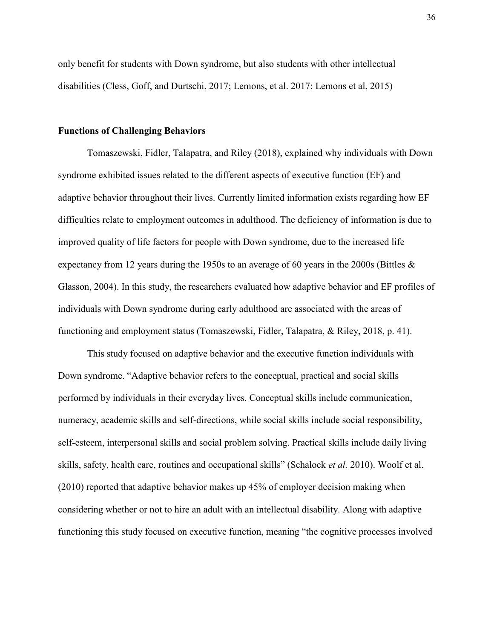only benefit for students with Down syndrome, but also students with other intellectual disabilities (Cless, Goff, and Durtschi, 2017; Lemons, et al. 2017; Lemons et al, 2015)

#### **Functions of Challenging Behaviors**

Tomaszewski, Fidler, Talapatra, and Riley (2018), explained why individuals with Down syndrome exhibited issues related to the different aspects of executive function (EF) and adaptive behavior throughout their lives. Currently limited information exists regarding how EF difficulties relate to employment outcomes in adulthood. The deficiency of information is due to improved quality of life factors for people with Down syndrome, due to the increased life expectancy from 12 years during the 1950s to an average of 60 years in the 2000s (Bittles & Glasson, 2004). In this study, the researchers evaluated how adaptive behavior and EF profiles of individuals with Down syndrome during early adulthood are associated with the areas of functioning and employment status (Tomaszewski, Fidler, Talapatra, & Riley, 2018, p. 41).

This study focused on adaptive behavior and the executive function individuals with Down syndrome. "Adaptive behavior refers to the conceptual, practical and social skills performed by individuals in their everyday lives. Conceptual skills include communication, numeracy, academic skills and self-directions, while social skills include social responsibility, self-esteem, interpersonal skills and social problem solving. Practical skills include daily living skills, safety, health care, routines and occupational skills" (Schalock *et al.* 2010). Woolf et al. (2010) reported that adaptive behavior makes up 45% of employer decision making when considering whether or not to hire an adult with an intellectual disability. Along with adaptive functioning this study focused on executive function, meaning "the cognitive processes involved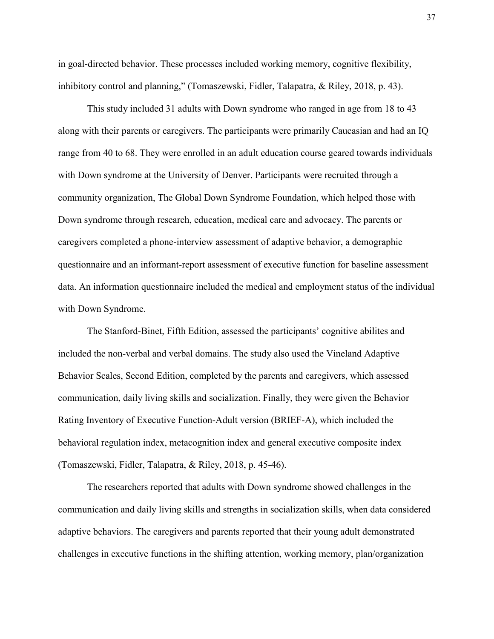in goal-directed behavior. These processes included working memory, cognitive flexibility, inhibitory control and planning," (Tomaszewski, Fidler, Talapatra, & Riley, 2018, p. 43).

This study included 31 adults with Down syndrome who ranged in age from 18 to 43 along with their parents or caregivers. The participants were primarily Caucasian and had an IQ range from 40 to 68. They were enrolled in an adult education course geared towards individuals with Down syndrome at the University of Denver. Participants were recruited through a community organization, The Global Down Syndrome Foundation, which helped those with Down syndrome through research, education, medical care and advocacy. The parents or caregivers completed a phone-interview assessment of adaptive behavior, a demographic questionnaire and an informant-report assessment of executive function for baseline assessment data. An information questionnaire included the medical and employment status of the individual with Down Syndrome.

The Stanford-Binet, Fifth Edition, assessed the participants' cognitive abilites and included the non-verbal and verbal domains. The study also used the Vineland Adaptive Behavior Scales, Second Edition, completed by the parents and caregivers, which assessed communication, daily living skills and socialization. Finally, they were given the Behavior Rating Inventory of Executive Function-Adult version (BRIEF-A), which included the behavioral regulation index, metacognition index and general executive composite index (Tomaszewski, Fidler, Talapatra, & Riley, 2018, p. 45-46).

The researchers reported that adults with Down syndrome showed challenges in the communication and daily living skills and strengths in socialization skills, when data considered adaptive behaviors. The caregivers and parents reported that their young adult demonstrated challenges in executive functions in the shifting attention, working memory, plan/organization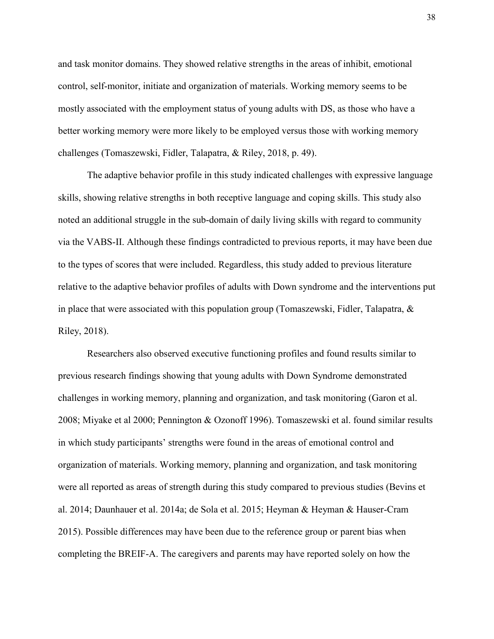and task monitor domains. They showed relative strengths in the areas of inhibit, emotional control, self-monitor, initiate and organization of materials. Working memory seems to be mostly associated with the employment status of young adults with DS, as those who have a better working memory were more likely to be employed versus those with working memory challenges (Tomaszewski, Fidler, Talapatra, & Riley, 2018, p. 49).

 The adaptive behavior profile in this study indicated challenges with expressive language skills, showing relative strengths in both receptive language and coping skills. This study also noted an additional struggle in the sub-domain of daily living skills with regard to community via the VABS-II. Although these findings contradicted to previous reports, it may have been due to the types of scores that were included. Regardless, this study added to previous literature relative to the adaptive behavior profiles of adults with Down syndrome and the interventions put in place that were associated with this population group (Tomaszewski, Fidler, Talapatra,  $\&$ Riley, 2018).

 Researchers also observed executive functioning profiles and found results similar to previous research findings showing that young adults with Down Syndrome demonstrated challenges in working memory, planning and organization, and task monitoring (Garon et al. 2008; Miyake et al 2000; Pennington & Ozonoff 1996). Tomaszewski et al. found similar results in which study participants' strengths were found in the areas of emotional control and organization of materials. Working memory, planning and organization, and task monitoring were all reported as areas of strength during this study compared to previous studies (Bevins et al. 2014; Daunhauer et al. 2014a; de Sola et al. 2015; Heyman & Heyman & Hauser-Cram 2015). Possible differences may have been due to the reference group or parent bias when completing the BREIF-A. The caregivers and parents may have reported solely on how the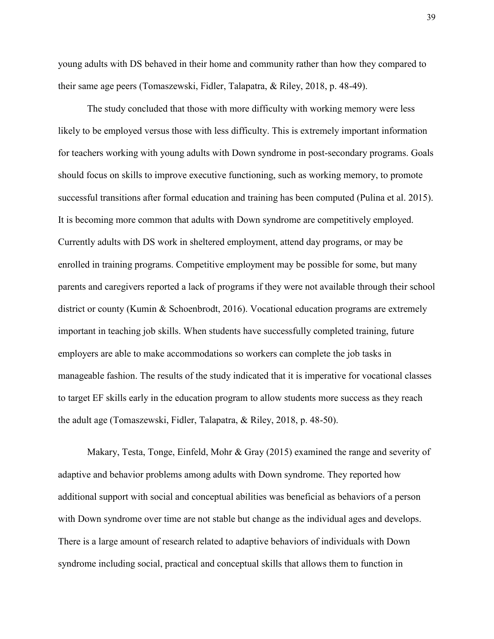young adults with DS behaved in their home and community rather than how they compared to their same age peers (Tomaszewski, Fidler, Talapatra, & Riley, 2018, p. 48-49).

 The study concluded that those with more difficulty with working memory were less likely to be employed versus those with less difficulty. This is extremely important information for teachers working with young adults with Down syndrome in post-secondary programs. Goals should focus on skills to improve executive functioning, such as working memory, to promote successful transitions after formal education and training has been computed (Pulina et al. 2015). It is becoming more common that adults with Down syndrome are competitively employed. Currently adults with DS work in sheltered employment, attend day programs, or may be enrolled in training programs. Competitive employment may be possible for some, but many parents and caregivers reported a lack of programs if they were not available through their school district or county (Kumin & Schoenbrodt, 2016). Vocational education programs are extremely important in teaching job skills. When students have successfully completed training, future employers are able to make accommodations so workers can complete the job tasks in manageable fashion. The results of the study indicated that it is imperative for vocational classes to target EF skills early in the education program to allow students more success as they reach the adult age (Tomaszewski, Fidler, Talapatra, & Riley, 2018, p. 48-50).

Makary, Testa, Tonge, Einfeld, Mohr & Gray (2015) examined the range and severity of adaptive and behavior problems among adults with Down syndrome. They reported how additional support with social and conceptual abilities was beneficial as behaviors of a person with Down syndrome over time are not stable but change as the individual ages and develops. There is a large amount of research related to adaptive behaviors of individuals with Down syndrome including social, practical and conceptual skills that allows them to function in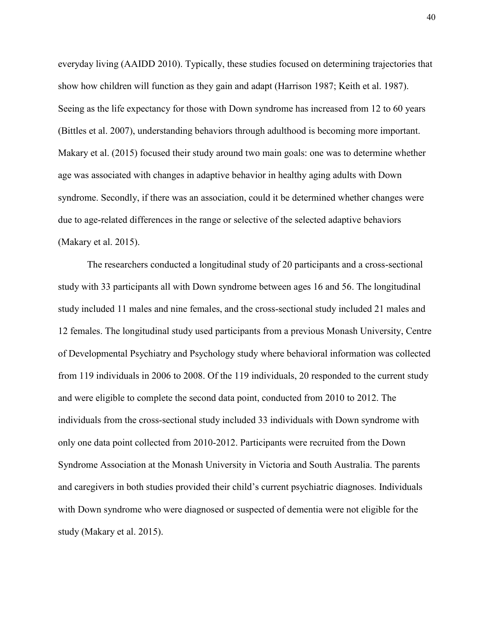everyday living (AAIDD 2010). Typically, these studies focused on determining trajectories that show how children will function as they gain and adapt (Harrison 1987; Keith et al. 1987). Seeing as the life expectancy for those with Down syndrome has increased from 12 to 60 years (Bittles et al. 2007), understanding behaviors through adulthood is becoming more important. Makary et al. (2015) focused their study around two main goals: one was to determine whether age was associated with changes in adaptive behavior in healthy aging adults with Down syndrome. Secondly, if there was an association, could it be determined whether changes were due to age-related differences in the range or selective of the selected adaptive behaviors (Makary et al. 2015).

The researchers conducted a longitudinal study of 20 participants and a cross-sectional study with 33 participants all with Down syndrome between ages 16 and 56. The longitudinal study included 11 males and nine females, and the cross-sectional study included 21 males and 12 females. The longitudinal study used participants from a previous Monash University, Centre of Developmental Psychiatry and Psychology study where behavioral information was collected from 119 individuals in 2006 to 2008. Of the 119 individuals, 20 responded to the current study and were eligible to complete the second data point, conducted from 2010 to 2012. The individuals from the cross-sectional study included 33 individuals with Down syndrome with only one data point collected from 2010-2012. Participants were recruited from the Down Syndrome Association at the Monash University in Victoria and South Australia. The parents and caregivers in both studies provided their child's current psychiatric diagnoses. Individuals with Down syndrome who were diagnosed or suspected of dementia were not eligible for the study (Makary et al. 2015).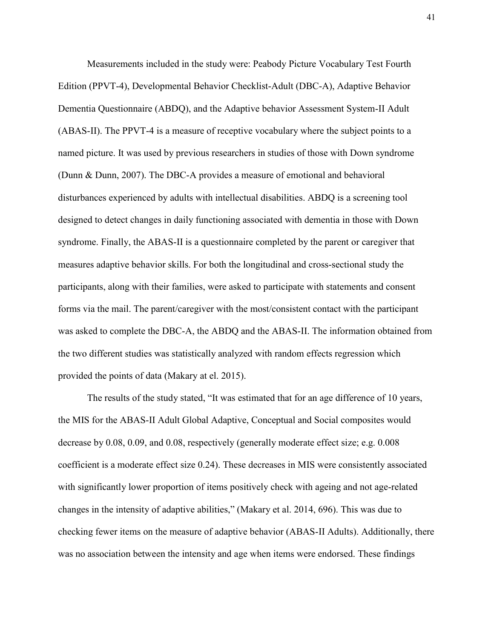Measurements included in the study were: Peabody Picture Vocabulary Test Fourth Edition (PPVT-4), Developmental Behavior Checklist-Adult (DBC-A), Adaptive Behavior Dementia Questionnaire (ABDQ), and the Adaptive behavior Assessment System-II Adult (ABAS-II). The PPVT-4 is a measure of receptive vocabulary where the subject points to a named picture. It was used by previous researchers in studies of those with Down syndrome (Dunn & Dunn, 2007). The DBC-A provides a measure of emotional and behavioral disturbances experienced by adults with intellectual disabilities. ABDQ is a screening tool designed to detect changes in daily functioning associated with dementia in those with Down syndrome. Finally, the ABAS-II is a questionnaire completed by the parent or caregiver that measures adaptive behavior skills. For both the longitudinal and cross-sectional study the participants, along with their families, were asked to participate with statements and consent forms via the mail. The parent/caregiver with the most/consistent contact with the participant was asked to complete the DBC-A, the ABDQ and the ABAS-II. The information obtained from the two different studies was statistically analyzed with random effects regression which provided the points of data (Makary at el. 2015).

The results of the study stated, "It was estimated that for an age difference of 10 years, the MIS for the ABAS-II Adult Global Adaptive, Conceptual and Social composites would decrease by 0.08, 0.09, and 0.08, respectively (generally moderate effect size; e.g. 0.008 coefficient is a moderate effect size 0.24). These decreases in MIS were consistently associated with significantly lower proportion of items positively check with ageing and not age-related changes in the intensity of adaptive abilities," (Makary et al. 2014, 696). This was due to checking fewer items on the measure of adaptive behavior (ABAS-II Adults). Additionally, there was no association between the intensity and age when items were endorsed. These findings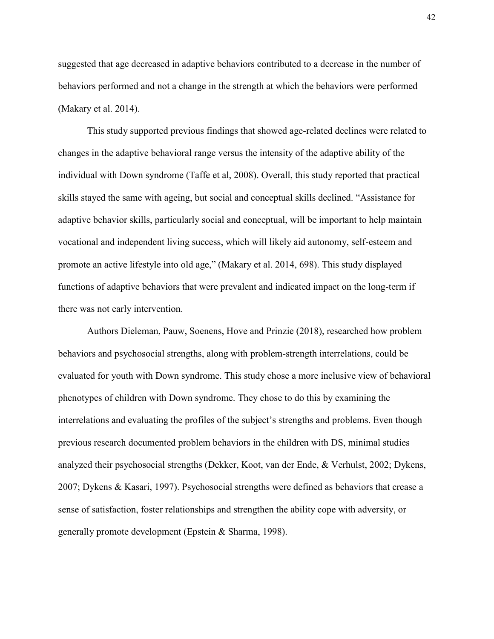suggested that age decreased in adaptive behaviors contributed to a decrease in the number of behaviors performed and not a change in the strength at which the behaviors were performed (Makary et al. 2014).

This study supported previous findings that showed age-related declines were related to changes in the adaptive behavioral range versus the intensity of the adaptive ability of the individual with Down syndrome (Taffe et al, 2008). Overall, this study reported that practical skills stayed the same with ageing, but social and conceptual skills declined. "Assistance for adaptive behavior skills, particularly social and conceptual, will be important to help maintain vocational and independent living success, which will likely aid autonomy, self-esteem and promote an active lifestyle into old age," (Makary et al. 2014, 698). This study displayed functions of adaptive behaviors that were prevalent and indicated impact on the long-term if there was not early intervention.

Authors Dieleman, Pauw, Soenens, Hove and Prinzie (2018), researched how problem behaviors and psychosocial strengths, along with problem-strength interrelations, could be evaluated for youth with Down syndrome. This study chose a more inclusive view of behavioral phenotypes of children with Down syndrome. They chose to do this by examining the interrelations and evaluating the profiles of the subject's strengths and problems. Even though previous research documented problem behaviors in the children with DS, minimal studies analyzed their psychosocial strengths (Dekker, Koot, van der Ende, & Verhulst, 2002; Dykens, 2007; Dykens & Kasari, 1997). Psychosocial strengths were defined as behaviors that crease a sense of satisfaction, foster relationships and strengthen the ability cope with adversity, or generally promote development (Epstein & Sharma, 1998).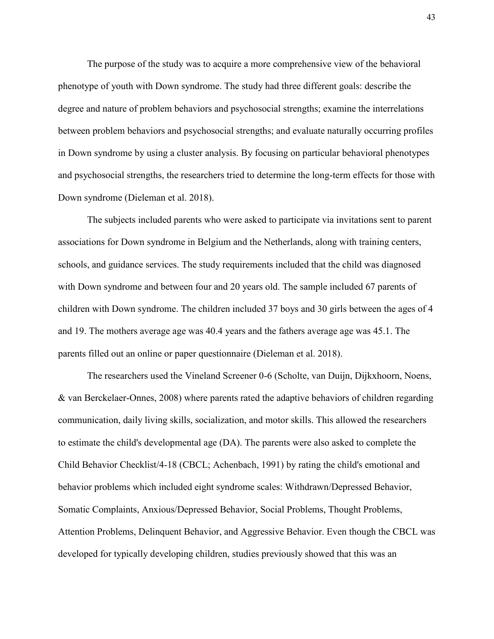The purpose of the study was to acquire a more comprehensive view of the behavioral phenotype of youth with Down syndrome. The study had three different goals: describe the degree and nature of problem behaviors and psychosocial strengths; examine the interrelations between problem behaviors and psychosocial strengths; and evaluate naturally occurring profiles in Down syndrome by using a cluster analysis. By focusing on particular behavioral phenotypes and psychosocial strengths, the researchers tried to determine the long-term effects for those with Down syndrome (Dieleman et al. 2018).

The subjects included parents who were asked to participate via invitations sent to parent associations for Down syndrome in Belgium and the Netherlands, along with training centers, schools, and guidance services. The study requirements included that the child was diagnosed with Down syndrome and between four and 20 years old. The sample included 67 parents of children with Down syndrome. The children included 37 boys and 30 girls between the ages of 4 and 19. The mothers average age was 40.4 years and the fathers average age was 45.1. The parents filled out an online or paper questionnaire (Dieleman et al. 2018).

The researchers used the Vineland Screener 0-6 (Scholte, van Duijn, Dijkxhoorn, Noens, & van Berckelaer-Onnes, 2008) where parents rated the adaptive behaviors of children regarding communication, daily living skills, socialization, and motor skills. This allowed the researchers to estimate the child's developmental age (DA). The parents were also asked to complete the Child Behavior Checklist/4-18 (CBCL; Achenbach, 1991) by rating the child's emotional and behavior problems which included eight syndrome scales: Withdrawn/Depressed Behavior, Somatic Complaints, Anxious/Depressed Behavior, Social Problems, Thought Problems, Attention Problems, Delinquent Behavior, and Aggressive Behavior. Even though the CBCL was developed for typically developing children, studies previously showed that this was an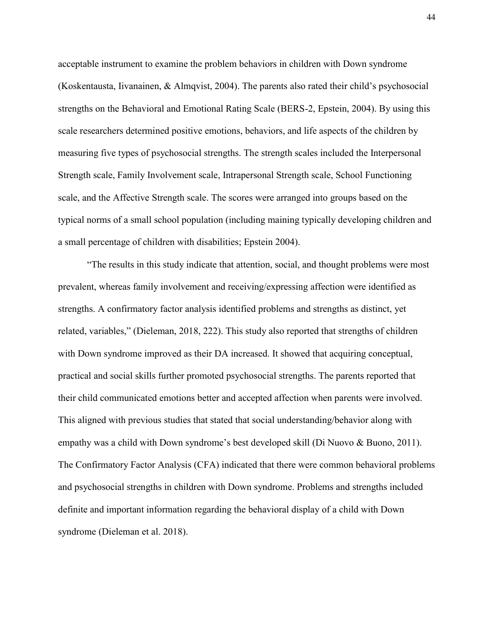acceptable instrument to examine the problem behaviors in children with Down syndrome (Koskentausta, Iivanainen, & Almqvist, 2004). The parents also rated their child's psychosocial strengths on the Behavioral and Emotional Rating Scale (BERS-2, Epstein, 2004). By using this scale researchers determined positive emotions, behaviors, and life aspects of the children by measuring five types of psychosocial strengths. The strength scales included the Interpersonal Strength scale, Family Involvement scale, Intrapersonal Strength scale, School Functioning scale, and the Affective Strength scale. The scores were arranged into groups based on the typical norms of a small school population (including maining typically developing children and a small percentage of children with disabilities; Epstein 2004).

"The results in this study indicate that attention, social, and thought problems were most prevalent, whereas family involvement and receiving/expressing affection were identified as strengths. A confirmatory factor analysis identified problems and strengths as distinct, yet related, variables," (Dieleman, 2018, 222). This study also reported that strengths of children with Down syndrome improved as their DA increased. It showed that acquiring conceptual, practical and social skills further promoted psychosocial strengths. The parents reported that their child communicated emotions better and accepted affection when parents were involved. This aligned with previous studies that stated that social understanding/behavior along with empathy was a child with Down syndrome's best developed skill (Di Nuovo & Buono, 2011). The Confirmatory Factor Analysis (CFA) indicated that there were common behavioral problems and psychosocial strengths in children with Down syndrome. Problems and strengths included definite and important information regarding the behavioral display of a child with Down syndrome (Dieleman et al. 2018).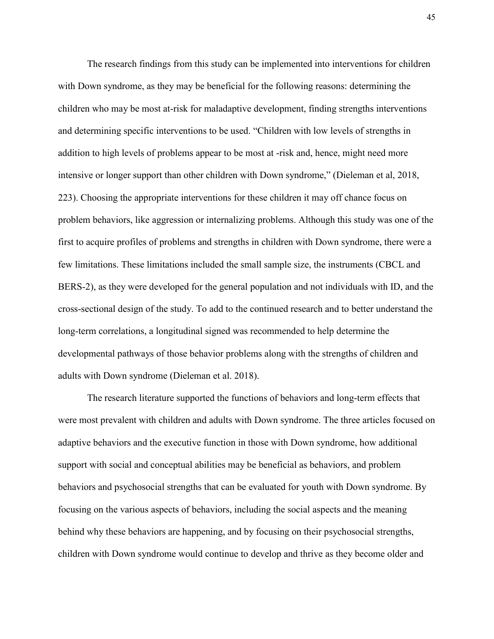The research findings from this study can be implemented into interventions for children with Down syndrome, as they may be beneficial for the following reasons: determining the children who may be most at-risk for maladaptive development, finding strengths interventions and determining specific interventions to be used. "Children with low levels of strengths in addition to high levels of problems appear to be most at -risk and, hence, might need more intensive or longer support than other children with Down syndrome," (Dieleman et al, 2018, 223). Choosing the appropriate interventions for these children it may off chance focus on problem behaviors, like aggression or internalizing problems. Although this study was one of the first to acquire profiles of problems and strengths in children with Down syndrome, there were a few limitations. These limitations included the small sample size, the instruments (CBCL and BERS-2), as they were developed for the general population and not individuals with ID, and the cross-sectional design of the study. To add to the continued research and to better understand the long-term correlations, a longitudinal signed was recommended to help determine the developmental pathways of those behavior problems along with the strengths of children and adults with Down syndrome (Dieleman et al. 2018).

The research literature supported the functions of behaviors and long-term effects that were most prevalent with children and adults with Down syndrome. The three articles focused on adaptive behaviors and the executive function in those with Down syndrome, how additional support with social and conceptual abilities may be beneficial as behaviors, and problem behaviors and psychosocial strengths that can be evaluated for youth with Down syndrome. By focusing on the various aspects of behaviors, including the social aspects and the meaning behind why these behaviors are happening, and by focusing on their psychosocial strengths, children with Down syndrome would continue to develop and thrive as they become older and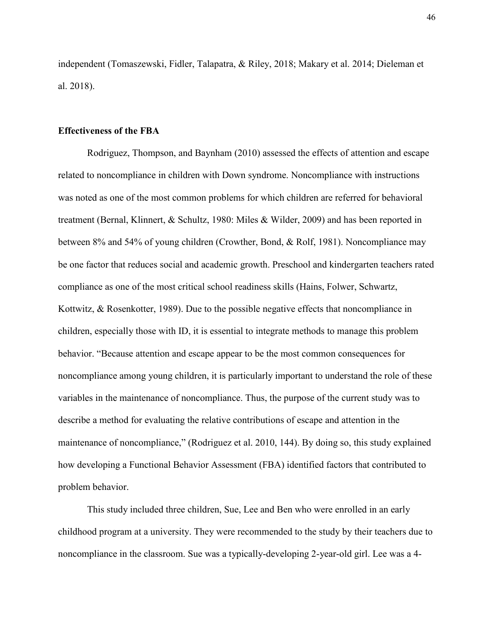independent (Tomaszewski, Fidler, Talapatra, & Riley, 2018; Makary et al. 2014; Dieleman et al. 2018).

#### **Effectiveness of the FBA**

Rodriguez, Thompson, and Baynham (2010) assessed the effects of attention and escape related to noncompliance in children with Down syndrome. Noncompliance with instructions was noted as one of the most common problems for which children are referred for behavioral treatment (Bernal, Klinnert, & Schultz, 1980: Miles & Wilder, 2009) and has been reported in between 8% and 54% of young children (Crowther, Bond, & Rolf, 1981). Noncompliance may be one factor that reduces social and academic growth. Preschool and kindergarten teachers rated compliance as one of the most critical school readiness skills (Hains, Folwer, Schwartz, Kottwitz, & Rosenkotter, 1989). Due to the possible negative effects that noncompliance in children, especially those with ID, it is essential to integrate methods to manage this problem behavior. "Because attention and escape appear to be the most common consequences for noncompliance among young children, it is particularly important to understand the role of these variables in the maintenance of noncompliance. Thus, the purpose of the current study was to describe a method for evaluating the relative contributions of escape and attention in the maintenance of noncompliance," (Rodriguez et al. 2010, 144). By doing so, this study explained how developing a Functional Behavior Assessment (FBA) identified factors that contributed to problem behavior.

This study included three children, Sue, Lee and Ben who were enrolled in an early childhood program at a university. They were recommended to the study by their teachers due to noncompliance in the classroom. Sue was a typically-developing 2-year-old girl. Lee was a 4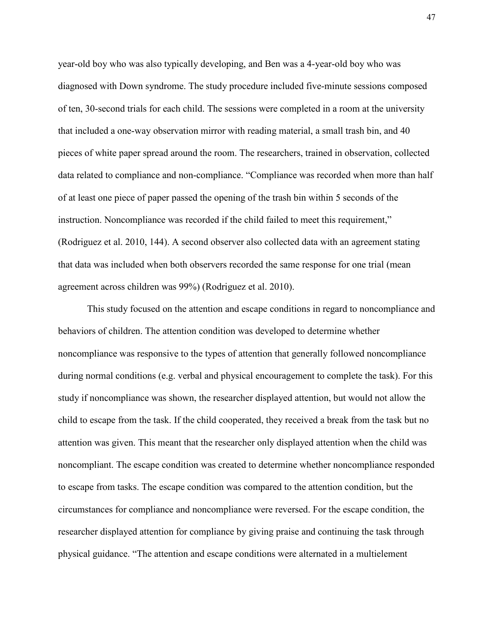year-old boy who was also typically developing, and Ben was a 4-year-old boy who was diagnosed with Down syndrome. The study procedure included five-minute sessions composed of ten, 30-second trials for each child. The sessions were completed in a room at the university that included a one-way observation mirror with reading material, a small trash bin, and 40 pieces of white paper spread around the room. The researchers, trained in observation, collected data related to compliance and non-compliance. "Compliance was recorded when more than half of at least one piece of paper passed the opening of the trash bin within 5 seconds of the instruction. Noncompliance was recorded if the child failed to meet this requirement," (Rodriguez et al. 2010, 144). A second observer also collected data with an agreement stating that data was included when both observers recorded the same response for one trial (mean agreement across children was 99%) (Rodriguez et al. 2010).

This study focused on the attention and escape conditions in regard to noncompliance and behaviors of children. The attention condition was developed to determine whether noncompliance was responsive to the types of attention that generally followed noncompliance during normal conditions (e.g. verbal and physical encouragement to complete the task). For this study if noncompliance was shown, the researcher displayed attention, but would not allow the child to escape from the task. If the child cooperated, they received a break from the task but no attention was given. This meant that the researcher only displayed attention when the child was noncompliant. The escape condition was created to determine whether noncompliance responded to escape from tasks. The escape condition was compared to the attention condition, but the circumstances for compliance and noncompliance were reversed. For the escape condition, the researcher displayed attention for compliance by giving praise and continuing the task through physical guidance. "The attention and escape conditions were alternated in a multielement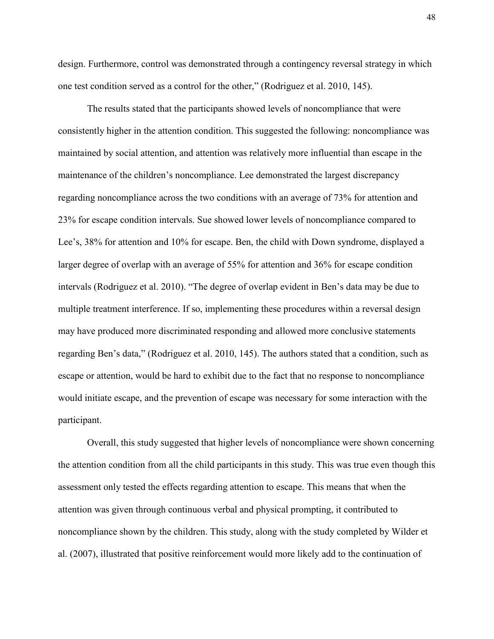design. Furthermore, control was demonstrated through a contingency reversal strategy in which one test condition served as a control for the other," (Rodriguez et al. 2010, 145).

The results stated that the participants showed levels of noncompliance that were consistently higher in the attention condition. This suggested the following: noncompliance was maintained by social attention, and attention was relatively more influential than escape in the maintenance of the children's noncompliance. Lee demonstrated the largest discrepancy regarding noncompliance across the two conditions with an average of 73% for attention and 23% for escape condition intervals. Sue showed lower levels of noncompliance compared to Lee's, 38% for attention and 10% for escape. Ben, the child with Down syndrome, displayed a larger degree of overlap with an average of 55% for attention and 36% for escape condition intervals (Rodriguez et al. 2010). "The degree of overlap evident in Ben's data may be due to multiple treatment interference. If so, implementing these procedures within a reversal design may have produced more discriminated responding and allowed more conclusive statements regarding Ben's data," (Rodriguez et al. 2010, 145). The authors stated that a condition, such as escape or attention, would be hard to exhibit due to the fact that no response to noncompliance would initiate escape, and the prevention of escape was necessary for some interaction with the participant.

Overall, this study suggested that higher levels of noncompliance were shown concerning the attention condition from all the child participants in this study. This was true even though this assessment only tested the effects regarding attention to escape. This means that when the attention was given through continuous verbal and physical prompting, it contributed to noncompliance shown by the children. This study, along with the study completed by Wilder et al. (2007), illustrated that positive reinforcement would more likely add to the continuation of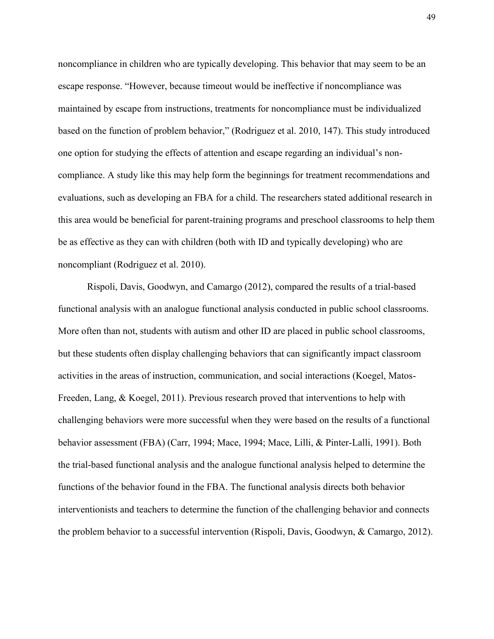noncompliance in children who are typically developing. This behavior that may seem to be an escape response. "However, because timeout would be ineffective if noncompliance was maintained by escape from instructions, treatments for noncompliance must be individualized based on the function of problem behavior," (Rodriguez et al. 2010, 147). This study introduced one option for studying the effects of attention and escape regarding an individual's noncompliance. A study like this may help form the beginnings for treatment recommendations and evaluations, such as developing an FBA for a child. The researchers stated additional research in this area would be beneficial for parent-training programs and preschool classrooms to help them be as effective as they can with children (both with ID and typically developing) who are noncompliant (Rodriguez et al. 2010).

Rispoli, Davis, Goodwyn, and Camargo (2012), compared the results of a trial-based functional analysis with an analogue functional analysis conducted in public school classrooms. More often than not, students with autism and other ID are placed in public school classrooms, but these students often display challenging behaviors that can significantly impact classroom activities in the areas of instruction, communication, and social interactions (Koegel, Matos-Freeden, Lang, & Koegel, 2011). Previous research proved that interventions to help with challenging behaviors were more successful when they were based on the results of a functional behavior assessment (FBA) (Carr, 1994; Mace, 1994; Mace, Lilli, & Pinter-Lalli, 1991). Both the trial-based functional analysis and the analogue functional analysis helped to determine the functions of the behavior found in the FBA. The functional analysis directs both behavior interventionists and teachers to determine the function of the challenging behavior and connects the problem behavior to a successful intervention (Rispoli, Davis, Goodwyn, & Camargo, 2012).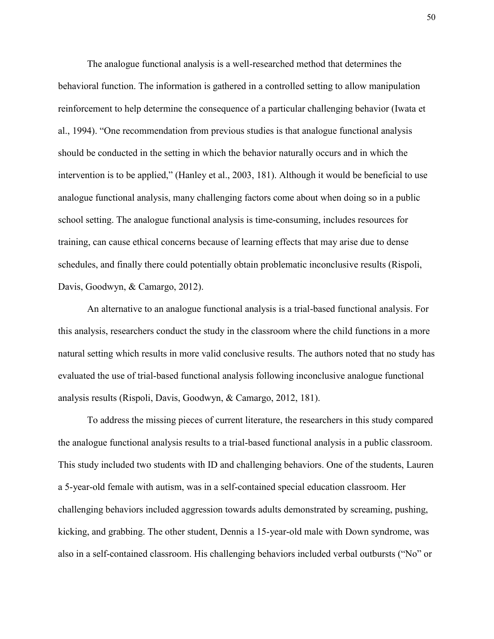The analogue functional analysis is a well-researched method that determines the behavioral function. The information is gathered in a controlled setting to allow manipulation reinforcement to help determine the consequence of a particular challenging behavior (Iwata et al., 1994). "One recommendation from previous studies is that analogue functional analysis should be conducted in the setting in which the behavior naturally occurs and in which the intervention is to be applied," (Hanley et al., 2003, 181). Although it would be beneficial to use analogue functional analysis, many challenging factors come about when doing so in a public school setting. The analogue functional analysis is time-consuming, includes resources for training, can cause ethical concerns because of learning effects that may arise due to dense schedules, and finally there could potentially obtain problematic inconclusive results (Rispoli, Davis, Goodwyn, & Camargo, 2012).

An alternative to an analogue functional analysis is a trial-based functional analysis. For this analysis, researchers conduct the study in the classroom where the child functions in a more natural setting which results in more valid conclusive results. The authors noted that no study has evaluated the use of trial-based functional analysis following inconclusive analogue functional analysis results (Rispoli, Davis, Goodwyn, & Camargo, 2012, 181).

To address the missing pieces of current literature, the researchers in this study compared the analogue functional analysis results to a trial-based functional analysis in a public classroom. This study included two students with ID and challenging behaviors. One of the students, Lauren a 5-year-old female with autism, was in a self-contained special education classroom. Her challenging behaviors included aggression towards adults demonstrated by screaming, pushing, kicking, and grabbing. The other student, Dennis a 15-year-old male with Down syndrome, was also in a self-contained classroom. His challenging behaviors included verbal outbursts ("No" or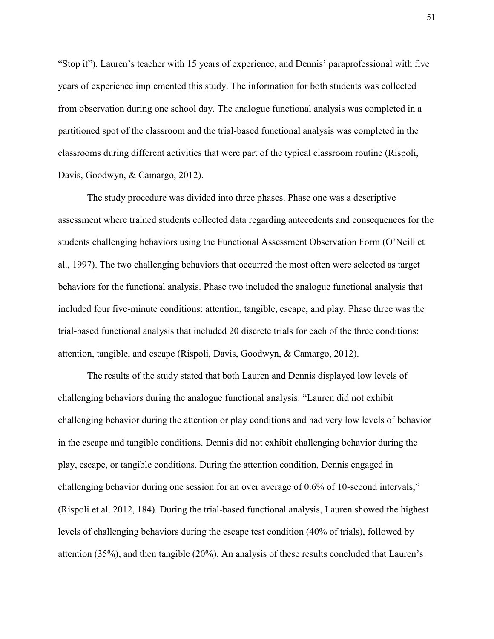"Stop it"). Lauren's teacher with 15 years of experience, and Dennis' paraprofessional with five years of experience implemented this study. The information for both students was collected from observation during one school day. The analogue functional analysis was completed in a partitioned spot of the classroom and the trial-based functional analysis was completed in the classrooms during different activities that were part of the typical classroom routine (Rispoli, Davis, Goodwyn, & Camargo, 2012).

The study procedure was divided into three phases. Phase one was a descriptive assessment where trained students collected data regarding antecedents and consequences for the students challenging behaviors using the Functional Assessment Observation Form (O'Neill et al., 1997). The two challenging behaviors that occurred the most often were selected as target behaviors for the functional analysis. Phase two included the analogue functional analysis that included four five-minute conditions: attention, tangible, escape, and play. Phase three was the trial-based functional analysis that included 20 discrete trials for each of the three conditions: attention, tangible, and escape (Rispoli, Davis, Goodwyn, & Camargo, 2012).

The results of the study stated that both Lauren and Dennis displayed low levels of challenging behaviors during the analogue functional analysis. "Lauren did not exhibit challenging behavior during the attention or play conditions and had very low levels of behavior in the escape and tangible conditions. Dennis did not exhibit challenging behavior during the play, escape, or tangible conditions. During the attention condition, Dennis engaged in challenging behavior during one session for an over average of 0.6% of 10-second intervals," (Rispoli et al. 2012, 184). During the trial-based functional analysis, Lauren showed the highest levels of challenging behaviors during the escape test condition (40% of trials), followed by attention (35%), and then tangible (20%). An analysis of these results concluded that Lauren's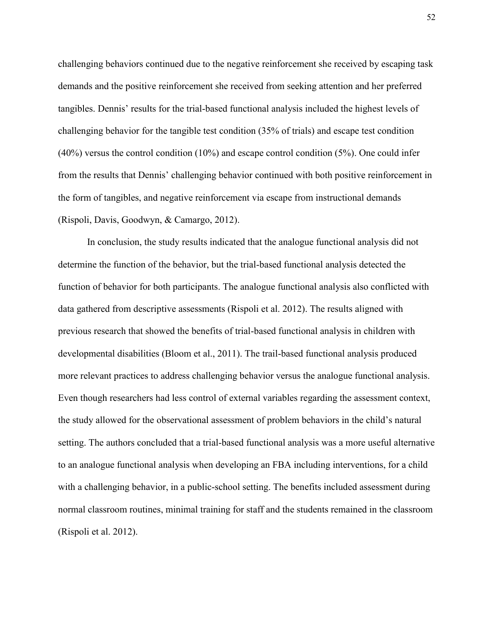challenging behaviors continued due to the negative reinforcement she received by escaping task demands and the positive reinforcement she received from seeking attention and her preferred tangibles. Dennis' results for the trial-based functional analysis included the highest levels of challenging behavior for the tangible test condition (35% of trials) and escape test condition (40%) versus the control condition (10%) and escape control condition (5%). One could infer from the results that Dennis' challenging behavior continued with both positive reinforcement in the form of tangibles, and negative reinforcement via escape from instructional demands (Rispoli, Davis, Goodwyn, & Camargo, 2012).

In conclusion, the study results indicated that the analogue functional analysis did not determine the function of the behavior, but the trial-based functional analysis detected the function of behavior for both participants. The analogue functional analysis also conflicted with data gathered from descriptive assessments (Rispoli et al. 2012). The results aligned with previous research that showed the benefits of trial-based functional analysis in children with developmental disabilities (Bloom et al., 2011). The trail-based functional analysis produced more relevant practices to address challenging behavior versus the analogue functional analysis. Even though researchers had less control of external variables regarding the assessment context, the study allowed for the observational assessment of problem behaviors in the child's natural setting. The authors concluded that a trial-based functional analysis was a more useful alternative to an analogue functional analysis when developing an FBA including interventions, for a child with a challenging behavior, in a public-school setting. The benefits included assessment during normal classroom routines, minimal training for staff and the students remained in the classroom (Rispoli et al. 2012).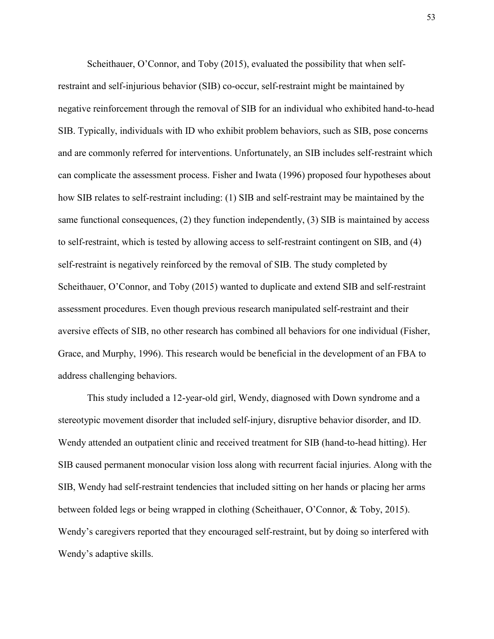Scheithauer, O'Connor, and Toby (2015), evaluated the possibility that when selfrestraint and self-injurious behavior (SIB) co-occur, self-restraint might be maintained by negative reinforcement through the removal of SIB for an individual who exhibited hand-to-head SIB. Typically, individuals with ID who exhibit problem behaviors, such as SIB, pose concerns and are commonly referred for interventions. Unfortunately, an SIB includes self-restraint which can complicate the assessment process. Fisher and Iwata (1996) proposed four hypotheses about how SIB relates to self-restraint including: (1) SIB and self-restraint may be maintained by the same functional consequences, (2) they function independently, (3) SIB is maintained by access to self-restraint, which is tested by allowing access to self-restraint contingent on SIB, and (4) self-restraint is negatively reinforced by the removal of SIB. The study completed by Scheithauer, O'Connor, and Toby (2015) wanted to duplicate and extend SIB and self-restraint assessment procedures. Even though previous research manipulated self-restraint and their aversive effects of SIB, no other research has combined all behaviors for one individual (Fisher, Grace, and Murphy, 1996). This research would be beneficial in the development of an FBA to address challenging behaviors.

This study included a 12-year-old girl, Wendy, diagnosed with Down syndrome and a stereotypic movement disorder that included self-injury, disruptive behavior disorder, and ID. Wendy attended an outpatient clinic and received treatment for SIB (hand-to-head hitting). Her SIB caused permanent monocular vision loss along with recurrent facial injuries. Along with the SIB, Wendy had self-restraint tendencies that included sitting on her hands or placing her arms between folded legs or being wrapped in clothing (Scheithauer, O'Connor, & Toby, 2015). Wendy's caregivers reported that they encouraged self-restraint, but by doing so interfered with Wendy's adaptive skills.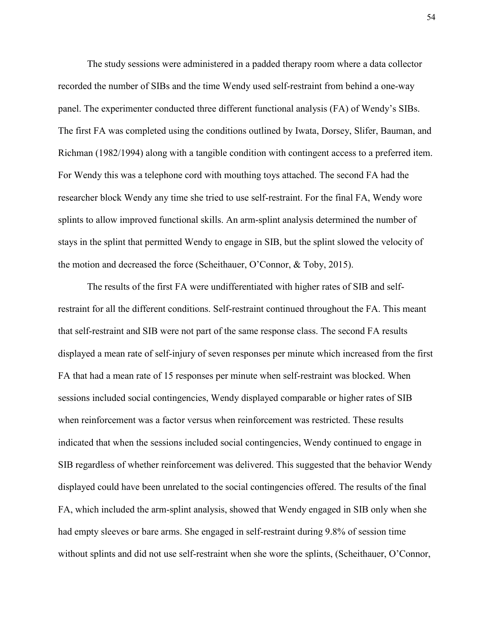The study sessions were administered in a padded therapy room where a data collector recorded the number of SIBs and the time Wendy used self-restraint from behind a one-way panel. The experimenter conducted three different functional analysis (FA) of Wendy's SIBs. The first FA was completed using the conditions outlined by Iwata, Dorsey, Slifer, Bauman, and Richman (1982/1994) along with a tangible condition with contingent access to a preferred item. For Wendy this was a telephone cord with mouthing toys attached. The second FA had the researcher block Wendy any time she tried to use self-restraint. For the final FA, Wendy wore splints to allow improved functional skills. An arm-splint analysis determined the number of stays in the splint that permitted Wendy to engage in SIB, but the splint slowed the velocity of the motion and decreased the force (Scheithauer, O'Connor, & Toby, 2015).

The results of the first FA were undifferentiated with higher rates of SIB and selfrestraint for all the different conditions. Self-restraint continued throughout the FA. This meant that self-restraint and SIB were not part of the same response class. The second FA results displayed a mean rate of self-injury of seven responses per minute which increased from the first FA that had a mean rate of 15 responses per minute when self-restraint was blocked. When sessions included social contingencies, Wendy displayed comparable or higher rates of SIB when reinforcement was a factor versus when reinforcement was restricted. These results indicated that when the sessions included social contingencies, Wendy continued to engage in SIB regardless of whether reinforcement was delivered. This suggested that the behavior Wendy displayed could have been unrelated to the social contingencies offered. The results of the final FA, which included the arm-splint analysis, showed that Wendy engaged in SIB only when she had empty sleeves or bare arms. She engaged in self-restraint during 9.8% of session time without splints and did not use self-restraint when she wore the splints, (Scheithauer, O'Connor,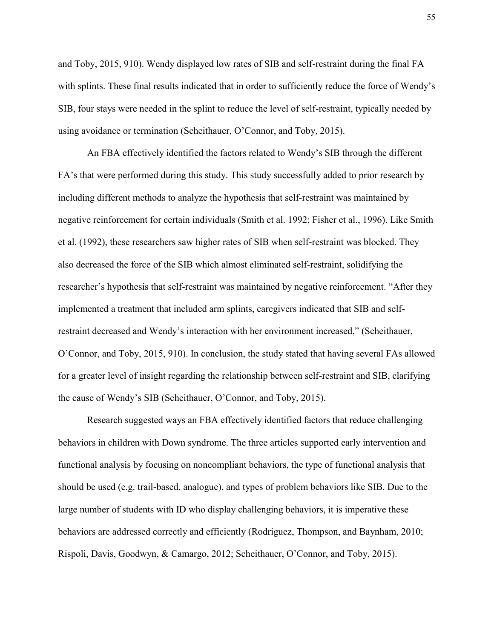and Toby, 2015, 910). Wendy displayed low rates of SIB and self-restraint during the final FA with splints. These final results indicated that in order to sufficiently reduce the force of Wendy's SIB, four stays were needed in the splint to reduce the level of self-restraint, typically needed by using avoidance or termination (Scheithauer, O'Connor, and Toby, 2015).

An FBA effectively identified the factors related to Wendy's SIB through the different FA's that were performed during this study. This study successfully added to prior research by including different methods to analyze the hypothesis that self-restraint was maintained by negative reinforcement for certain individuals (Smith et al. 1992; Fisher et al., 1996). Like Smith et al. (1992), these researchers saw higher rates of SIB when self-restraint was blocked. They also decreased the force of the SIB which almost eliminated self-restraint, solidifying the researcher's hypothesis that self-restraint was maintained by negative reinforcement. "After they implemented a treatment that included arm splints, caregivers indicated that SIB and selfrestraint decreased and Wendy's interaction with her environment increased," (Scheithauer, O'Connor, and Toby, 2015, 910). In conclusion, the study stated that having several FAs allowed for a greater level of insight regarding the relationship between self-restraint and SIB, clarifying the cause of Wendy's SIB (Scheithauer, O'Connor, and Toby, 2015).

Research suggested ways an FBA effectively identified factors that reduce challenging behaviors in children with Down syndrome. The three articles supported early intervention and functional analysis by focusing on noncompliant behaviors, the type of functional analysis that should be used (e.g. trail-based, analogue), and types of problem behaviors like SIB. Due to the large number of students with ID who display challenging behaviors, it is imperative these behaviors are addressed correctly and efficiently (Rodriguez, Thompson, and Baynham, 2010; Rispoli, Davis, Goodwyn, & Camargo, 2012; Scheithauer, O'Connor, and Toby, 2015).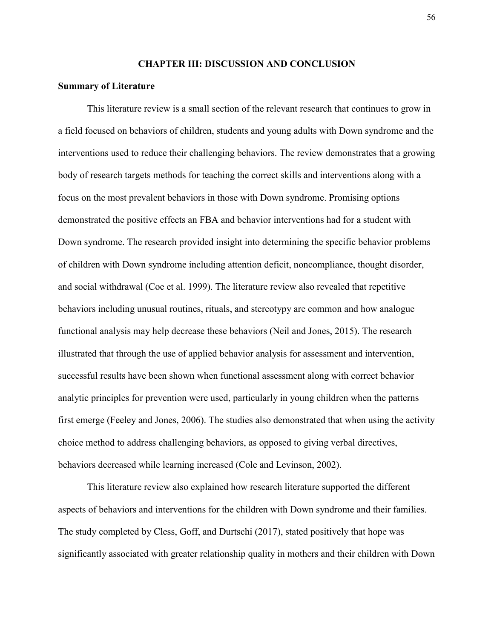#### **CHAPTER III: DISCUSSION AND CONCLUSION**

#### **Summary of Literature**

This literature review is a small section of the relevant research that continues to grow in a field focused on behaviors of children, students and young adults with Down syndrome and the interventions used to reduce their challenging behaviors. The review demonstrates that a growing body of research targets methods for teaching the correct skills and interventions along with a focus on the most prevalent behaviors in those with Down syndrome. Promising options demonstrated the positive effects an FBA and behavior interventions had for a student with Down syndrome. The research provided insight into determining the specific behavior problems of children with Down syndrome including attention deficit, noncompliance, thought disorder, and social withdrawal (Coe et al. 1999). The literature review also revealed that repetitive behaviors including unusual routines, rituals, and stereotypy are common and how analogue functional analysis may help decrease these behaviors (Neil and Jones, 2015). The research illustrated that through the use of applied behavior analysis for assessment and intervention, successful results have been shown when functional assessment along with correct behavior analytic principles for prevention were used, particularly in young children when the patterns first emerge (Feeley and Jones, 2006). The studies also demonstrated that when using the activity choice method to address challenging behaviors, as opposed to giving verbal directives, behaviors decreased while learning increased (Cole and Levinson, 2002).

This literature review also explained how research literature supported the different aspects of behaviors and interventions for the children with Down syndrome and their families. The study completed by Cless, Goff, and Durtschi (2017), stated positively that hope was significantly associated with greater relationship quality in mothers and their children with Down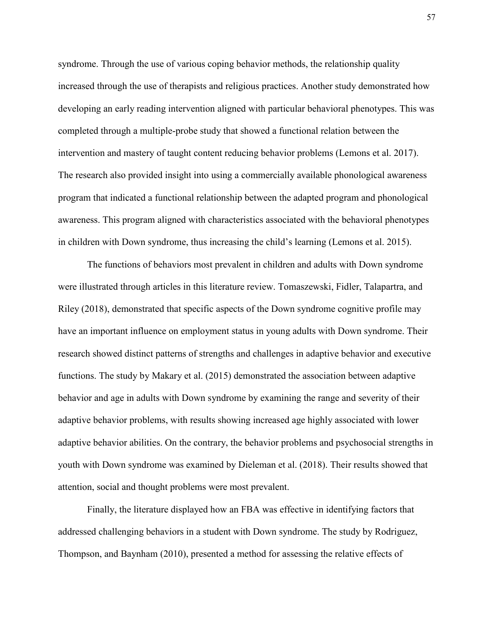syndrome. Through the use of various coping behavior methods, the relationship quality increased through the use of therapists and religious practices. Another study demonstrated how developing an early reading intervention aligned with particular behavioral phenotypes. This was completed through a multiple-probe study that showed a functional relation between the intervention and mastery of taught content reducing behavior problems (Lemons et al. 2017). The research also provided insight into using a commercially available phonological awareness program that indicated a functional relationship between the adapted program and phonological awareness. This program aligned with characteristics associated with the behavioral phenotypes in children with Down syndrome, thus increasing the child's learning (Lemons et al. 2015).

The functions of behaviors most prevalent in children and adults with Down syndrome were illustrated through articles in this literature review. Tomaszewski, Fidler, Talapartra, and Riley (2018), demonstrated that specific aspects of the Down syndrome cognitive profile may have an important influence on employment status in young adults with Down syndrome. Their research showed distinct patterns of strengths and challenges in adaptive behavior and executive functions. The study by Makary et al. (2015) demonstrated the association between adaptive behavior and age in adults with Down syndrome by examining the range and severity of their adaptive behavior problems, with results showing increased age highly associated with lower adaptive behavior abilities. On the contrary, the behavior problems and psychosocial strengths in youth with Down syndrome was examined by Dieleman et al. (2018). Their results showed that attention, social and thought problems were most prevalent.

Finally, the literature displayed how an FBA was effective in identifying factors that addressed challenging behaviors in a student with Down syndrome. The study by Rodriguez, Thompson, and Baynham (2010), presented a method for assessing the relative effects of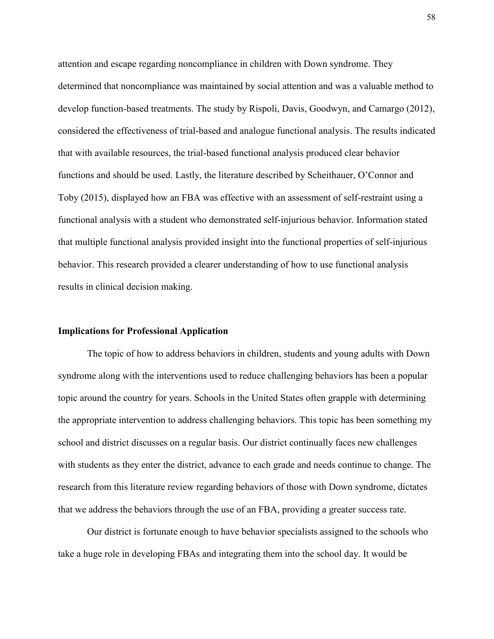attention and escape regarding noncompliance in children with Down syndrome. They determined that noncompliance was maintained by social attention and was a valuable method to develop function-based treatments. The study by Rispoli, Davis, Goodwyn, and Camargo (2012), considered the effectiveness of trial-based and analogue functional analysis. The results indicated that with available resources, the trial-based functional analysis produced clear behavior functions and should be used. Lastly, the literature described by Scheithauer, O'Connor and Toby (2015), displayed how an FBA was effective with an assessment of self-restraint using a functional analysis with a student who demonstrated self-injurious behavior. Information stated that multiple functional analysis provided insight into the functional properties of self-injurious behavior. This research provided a clearer understanding of how to use functional analysis results in clinical decision making.

#### **Implications for Professional Application**

The topic of how to address behaviors in children, students and young adults with Down syndrome along with the interventions used to reduce challenging behaviors has been a popular topic around the country for years. Schools in the United States often grapple with determining the appropriate intervention to address challenging behaviors. This topic has been something my school and district discusses on a regular basis. Our district continually faces new challenges with students as they enter the district, advance to each grade and needs continue to change. The research from this literature review regarding behaviors of those with Down syndrome, dictates that we address the behaviors through the use of an FBA, providing a greater success rate.

Our district is fortunate enough to have behavior specialists assigned to the schools who take a huge role in developing FBAs and integrating them into the school day. It would be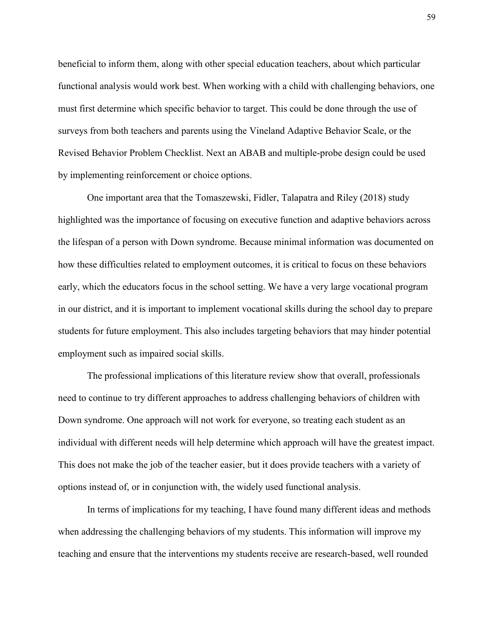beneficial to inform them, along with other special education teachers, about which particular functional analysis would work best. When working with a child with challenging behaviors, one must first determine which specific behavior to target. This could be done through the use of surveys from both teachers and parents using the Vineland Adaptive Behavior Scale, or the Revised Behavior Problem Checklist. Next an ABAB and multiple-probe design could be used by implementing reinforcement or choice options.

One important area that the Tomaszewski, Fidler, Talapatra and Riley (2018) study highlighted was the importance of focusing on executive function and adaptive behaviors across the lifespan of a person with Down syndrome. Because minimal information was documented on how these difficulties related to employment outcomes, it is critical to focus on these behaviors early, which the educators focus in the school setting. We have a very large vocational program in our district, and it is important to implement vocational skills during the school day to prepare students for future employment. This also includes targeting behaviors that may hinder potential employment such as impaired social skills.

The professional implications of this literature review show that overall, professionals need to continue to try different approaches to address challenging behaviors of children with Down syndrome. One approach will not work for everyone, so treating each student as an individual with different needs will help determine which approach will have the greatest impact. This does not make the job of the teacher easier, but it does provide teachers with a variety of options instead of, or in conjunction with, the widely used functional analysis.

In terms of implications for my teaching, I have found many different ideas and methods when addressing the challenging behaviors of my students. This information will improve my teaching and ensure that the interventions my students receive are research-based, well rounded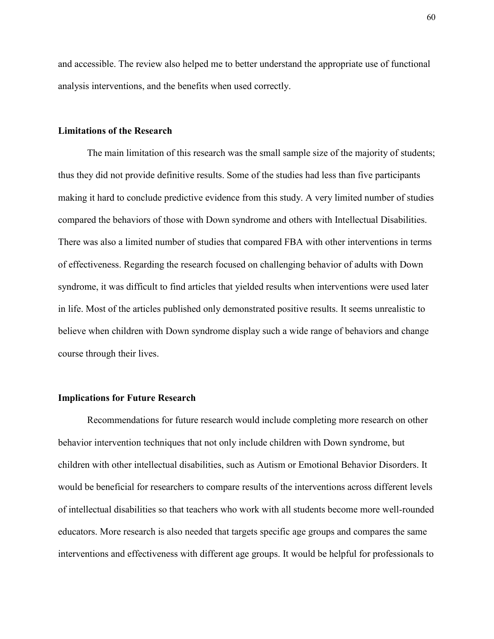and accessible. The review also helped me to better understand the appropriate use of functional analysis interventions, and the benefits when used correctly.

#### **Limitations of the Research**

The main limitation of this research was the small sample size of the majority of students; thus they did not provide definitive results. Some of the studies had less than five participants making it hard to conclude predictive evidence from this study. A very limited number of studies compared the behaviors of those with Down syndrome and others with Intellectual Disabilities. There was also a limited number of studies that compared FBA with other interventions in terms of effectiveness. Regarding the research focused on challenging behavior of adults with Down syndrome, it was difficult to find articles that yielded results when interventions were used later in life. Most of the articles published only demonstrated positive results. It seems unrealistic to believe when children with Down syndrome display such a wide range of behaviors and change course through their lives.

#### **Implications for Future Research**

Recommendations for future research would include completing more research on other behavior intervention techniques that not only include children with Down syndrome, but children with other intellectual disabilities, such as Autism or Emotional Behavior Disorders. It would be beneficial for researchers to compare results of the interventions across different levels of intellectual disabilities so that teachers who work with all students become more well-rounded educators. More research is also needed that targets specific age groups and compares the same interventions and effectiveness with different age groups. It would be helpful for professionals to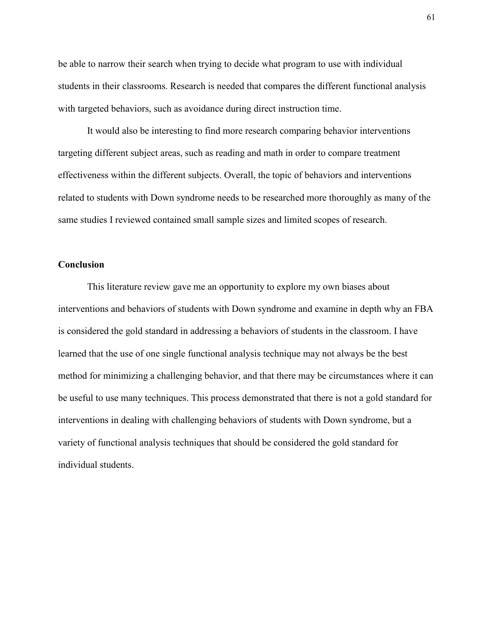be able to narrow their search when trying to decide what program to use with individual students in their classrooms. Research is needed that compares the different functional analysis with targeted behaviors, such as avoidance during direct instruction time.

It would also be interesting to find more research comparing behavior interventions targeting different subject areas, such as reading and math in order to compare treatment effectiveness within the different subjects. Overall, the topic of behaviors and interventions related to students with Down syndrome needs to be researched more thoroughly as many of the same studies I reviewed contained small sample sizes and limited scopes of research.

#### **Conclusion**

This literature review gave me an opportunity to explore my own biases about interventions and behaviors of students with Down syndrome and examine in depth why an FBA is considered the gold standard in addressing a behaviors of students in the classroom. I have learned that the use of one single functional analysis technique may not always be the best method for minimizing a challenging behavior, and that there may be circumstances where it can be useful to use many techniques. This process demonstrated that there is not a gold standard for interventions in dealing with challenging behaviors of students with Down syndrome, but a variety of functional analysis techniques that should be considered the gold standard for individual students.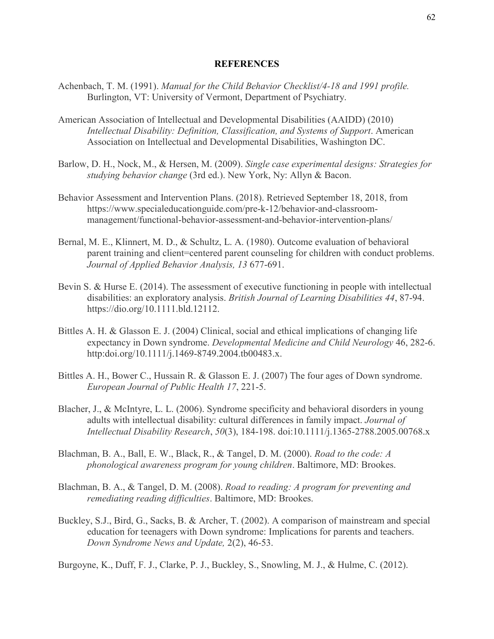#### **REFERENCES**

- Achenbach, T. M. (1991). *Manual for the Child Behavior Checklist/4-18 and 1991 profile.* Burlington, VT: University of Vermont, Department of Psychiatry.
- American Association of Intellectual and Developmental Disabilities (AAIDD) (2010) *Intellectual Disability: Definition, Classification, and Systems of Support*. American Association on Intellectual and Developmental Disabilities, Washington DC.
- Barlow, D. H., Nock, M., & Hersen, M. (2009). *Single case experimental designs: Strategies for studying behavior change* (3rd ed.). New York, Ny: Allyn & Bacon.
- Behavior Assessment and Intervention Plans. (2018). Retrieved September 18, 2018, from https://www.specialeducationguide.com/pre-k-12/behavior-and-classroommanagement/functional-behavior-assessment-and-behavior-intervention-plans/
- Bernal, M. E., Klinnert, M. D., & Schultz, L. A. (1980). Outcome evaluation of behavioral parent training and client=centered parent counseling for children with conduct problems. *Journal of Applied Behavior Analysis, 13* 677-691.
- Bevin S. & Hurse E. (2014). The assessment of executive functioning in people with intellectual disabilities: an exploratory analysis. *British Journal of Learning Disabilities 44*, 87-94. https://dio.org/10.1111.bld.12112.
- Bittles A. H. & Glasson E. J. (2004) Clinical, social and ethical implications of changing life expectancy in Down syndrome. *Developmental Medicine and Child Neurology* 46, 282-6. http:doi.org/10.1111/j.1469-8749.2004.tb00483.x.
- Bittles A. H., Bower C., Hussain R. & Glasson E. J. (2007) The four ages of Down syndrome. *European Journal of Public Health 17*, 221-5.
- Blacher, J., & McIntyre, L. L. (2006). Syndrome specificity and behavioral disorders in young adults with intellectual disability: cultural differences in family impact. *Journal of Intellectual Disability Research*, *50*(3), 184-198. doi:10.1111/j.1365-2788.2005.00768.x
- Blachman, B. A., Ball, E. W., Black, R., & Tangel, D. M. (2000). *Road to the code: A phonological awareness program for young children*. Baltimore, MD: Brookes.
- Blachman, B. A., & Tangel, D. M. (2008). *Road to reading: A program for preventing and remediating reading difficulties*. Baltimore, MD: Brookes.
- Buckley, S.J., Bird, G., Sacks, B. & Archer, T. (2002). A comparison of mainstream and special education for teenagers with Down syndrome: Implications for parents and teachers. *Down Syndrome News and Update,* 2(2), 46-53.

Burgoyne, K., Duff, F. J., Clarke, P. J., Buckley, S., Snowling, M. J., & Hulme, C. (2012).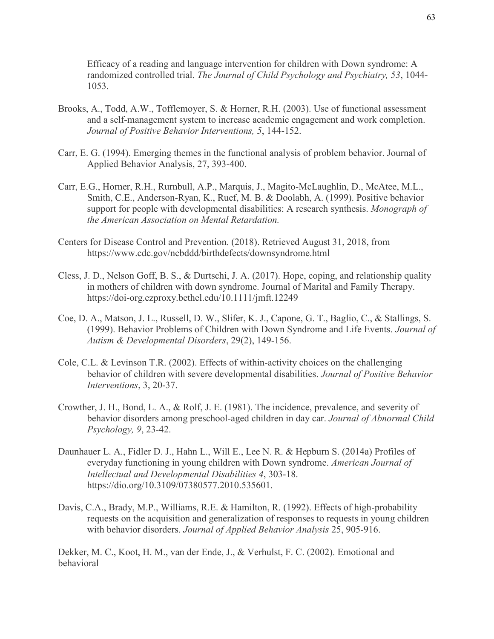Efficacy of a reading and language intervention for children with Down syndrome: A randomized controlled trial. *The Journal of Child Psychology and Psychiatry, 53*, 1044- 1053.

- Brooks, A., Todd, A.W., Tofflemoyer, S. & Horner, R.H. (2003). Use of functional assessment and a self-management system to increase academic engagement and work completion. *Journal of Positive Behavior Interventions, 5*, 144-152.
- Carr, E. G. (1994). Emerging themes in the functional analysis of problem behavior. Journal of Applied Behavior Analysis, 27, 393-400.
- Carr, E.G., Horner, R.H., Rurnbull, A.P., Marquis, J., Magito-McLaughlin, D., McAtee, M.L., Smith, C.E., Anderson-Ryan, K., Ruef, M. B. & Doolabh, A. (1999). Positive behavior support for people with developmental disabilities: A research synthesis. *Monograph of the American Association on Mental Retardation.*
- Centers for Disease Control and Prevention. (2018). Retrieved August 31, 2018, from https://www.cdc.gov/ncbddd/birthdefects/downsyndrome.html
- Cless, J. D., Nelson Goff, B. S., & Durtschi, J. A. (2017). Hope, coping, and relationship quality in mothers of children with down syndrome. Journal of Marital and Family Therapy. <https://doi-org.ezproxy.bethel.edu/10.1111/jmft.12249>
- Coe, D. A., Matson, J. L., Russell, D. W., Slifer, K. J., Capone, G. T., Baglio, C., & Stallings, S. (1999). Behavior Problems of Children with Down Syndrome and Life Events. *Journal of Autism & Developmental Disorders*, 29(2), 149-156.
- Cole, C.L. & Levinson T.R. (2002). Effects of within-activity choices on the challenging behavior of children with severe developmental disabilities. *Journal of Positive Behavior Interventions*, 3, 20-37.
- Crowther, J. H., Bond, L. A., & Rolf, J. E. (1981). The incidence, prevalence, and severity of behavior disorders among preschool-aged children in day car. *Journal of Abnormal Child Psychology, 9*, 23-42.
- Daunhauer L. A., Fidler D. J., Hahn L., Will E., Lee N. R. & Hepburn S. (2014a) Profiles of everyday functioning in young children with Down syndrome. *American Journal of Intellectual and Developmental Disabilities 4*, 303-18. https://dio.org/10.3109/07380577.2010.535601.
- Davis, C.A., Brady, M.P., Williams, R.E. & Hamilton, R. (1992). Effects of high-probability requests on the acquisition and generalization of responses to requests in young children with behavior disorders. *Journal of Applied Behavior Analysis* 25, 905-916.

Dekker, M. C., Koot, H. M., van der Ende, J., & Verhulst, F. C. (2002). Emotional and behavioral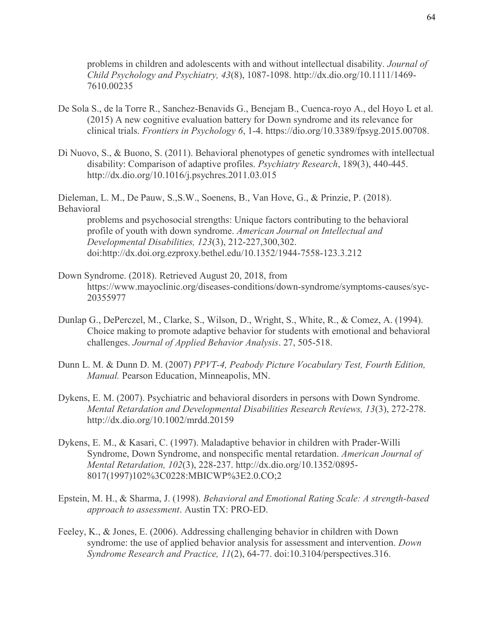problems in children and adolescents with and without intellectual disability. *Journal of Child Psychology and Psychiatry, 43*(8), 1087-1098. http://dx.dio.org/10.1111/1469- 7610.00235

- De Sola S., de la Torre R., Sanchez-Benavids G., Benejam B., Cuenca-royo A., del Hoyo L et al. (2015) A new cognitive evaluation battery for Down syndrome and its relevance for clinical trials. *Frontiers in Psychology 6*, 1-4. https://dio.org/10.3389/fpsyg.2015.00708.
- Di Nuovo, S., & Buono, S. (2011). Behavioral phenotypes of genetic syndromes with intellectual disability: Comparison of adaptive profiles. *Psychiatry Research*, 189(3), 440-445. http://dx.dio.org/10.1016/j.psychres.2011.03.015

Dieleman, L. M., De Pauw, S.,S.W., Soenens, B., Van Hove, G., & Prinzie, P. (2018). Behavioral

problems and psychosocial strengths: Unique factors contributing to the behavioral profile of youth with down syndrome. *American Journal on Intellectual and Developmental Disabilities, 123*(3), 212-227,300,302. doi:http://dx.doi.org.ezproxy.bethel.edu/10.1352/1944-7558-123.3.212

- Down Syndrome. (2018). Retrieved August 20, 2018, from https://www.mayoclinic.org/diseases-conditions/down-syndrome/symptoms-causes/syc-20355977
- Dunlap G., DePerczel, M., Clarke, S., Wilson, D., Wright, S., White, R., & Comez, A. (1994). Choice making to promote adaptive behavior for students with emotional and behavioral challenges. *Journal of Applied Behavior Analysis*. 27, 505-518.
- Dunn L. M. & Dunn D. M. (2007) *PPVT-4, Peabody Picture Vocabulary Test, Fourth Edition, Manual.* Pearson Education, Minneapolis, MN.
- Dykens, E. M. (2007). Psychiatric and behavioral disorders in persons with Down Syndrome. *Mental Retardation and Developmental Disabilities Research Reviews, 13*(3), 272-278. http://dx.dio.org/10.1002/mrdd.20159
- Dykens, E. M., & Kasari, C. (1997). Maladaptive behavior in children with Prader-Willi Syndrome, Down Syndrome, and nonspecific mental retardation. *American Journal of Mental Retardation, 102*(3), 228-237. http://dx.dio.org/10.1352/0895- 8017(1997)102%3C0228:MBICWP%3E2.0.CO;2
- Epstein, M. H., & Sharma, J. (1998). *Behavioral and Emotional Rating Scale: A strength-based approach to assessment*. Austin TX: PRO-ED.
- Feeley, K., & Jones, E. (2006). Addressing challenging behavior in children with Down syndrome: the use of applied behavior analysis for assessment and intervention. *Down Syndrome Research and Practice, 11*(2), 64-77. doi:10.3104/perspectives.316.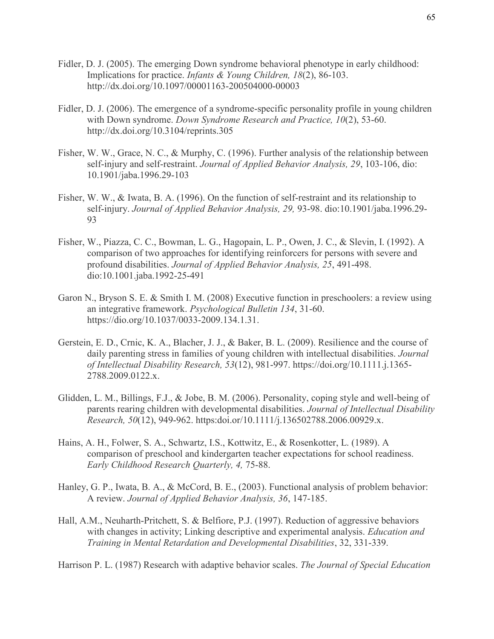- Fidler, D. J. (2005). The emerging Down syndrome behavioral phenotype in early childhood: Implications for practice. *Infants & Young Children, 18*(2), 86-103. http://dx.doi.org/10.1097/00001163-200504000-00003
- Fidler, D. J. (2006). The emergence of a syndrome-specific personality profile in young children with Down syndrome. *Down Syndrome Research and Practice, 10*(2), 53-60. http://dx.doi.org/10.3104/reprints.305
- Fisher, W. W., Grace, N. C., & Murphy, C. (1996). Further analysis of the relationship between self-injury and self-restraint. *Journal of Applied Behavior Analysis, 29*, 103-106, dio: 10.1901/jaba.1996.29-103
- Fisher, W. W., & Iwata, B. A. (1996). On the function of self-restraint and its relationship to self-injury. *Journal of Applied Behavior Analysis, 29,* 93-98. dio:10.1901/jaba.1996.29- 93
- Fisher, W., Piazza, C. C., Bowman, L. G., Hagopain, L. P., Owen, J. C., & Slevin, I. (1992). A comparison of two approaches for identifying reinforcers for persons with severe and profound disabilities. *Journal of Applied Behavior Analysis, 25*, 491-498. dio:10.1001.jaba.1992-25-491
- Garon N., Bryson S. E. & Smith I. M. (2008) Executive function in preschoolers: a review using an integrative framework. *Psychological Bulletin 134*, 31-60. https://dio.org/10.1037/0033-2009.134.1.31.
- Gerstein, E. D., Crnic, K. A., Blacher, J. J., & Baker, B. L. (2009). Resilience and the course of daily parenting stress in families of young children with intellectual disabilities. *Journal of Intellectual Disability Research, 53*(12), 981-997. https://doi.org/10.1111.j.1365- 2788.2009.0122.x.
- Glidden, L. M., Billings, F.J., & Jobe, B. M. (2006). Personality, coping style and well-being of parents rearing children with developmental disabilities. *Journal of Intellectual Disability Research, 50*(12), 949-962. https:doi.or/10.1111/j.136502788.2006.00929.x.
- Hains, A. H., Folwer, S. A., Schwartz, I.S., Kottwitz, E., & Rosenkotter, L. (1989). A comparison of preschool and kindergarten teacher expectations for school readiness. *Early Childhood Research Quarterly, 4,* 75-88.
- Hanley, G. P., Iwata, B. A., & McCord, B. E., (2003). Functional analysis of problem behavior: A review. *Journal of Applied Behavior Analysis, 36*, 147-185.
- Hall, A.M., Neuharth-Pritchett, S. & Belfiore, P.J. (1997). Reduction of aggressive behaviors with changes in activity; Linking descriptive and experimental analysis. *Education and Training in Mental Retardation and Developmental Disabilities*, 32, 331-339.

Harrison P. L. (1987) Research with adaptive behavior scales. *The Journal of Special Education*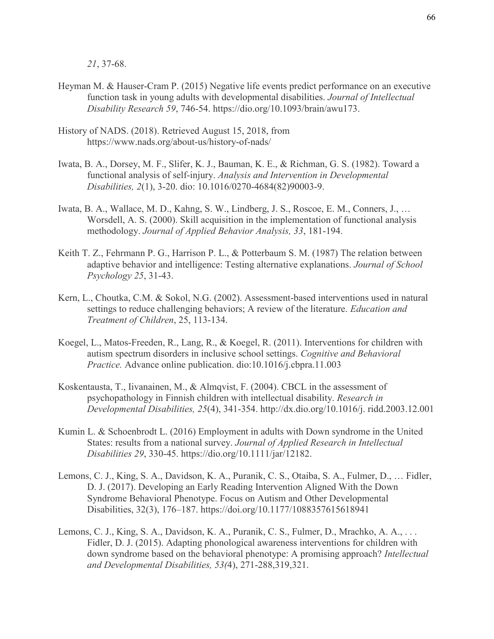*21*, 37-68.

- Heyman M. & Hauser-Cram P. (2015) Negative life events predict performance on an executive function task in young adults with developmental disabilities. *Journal of Intellectual Disability Research 59*, 746-54. https://dio.org/10.1093/brain/awu173.
- History of NADS. (2018). Retrieved August 15, 2018, from https://www.nads.org/about-us/history-of-nads/
- Iwata, B. A., Dorsey, M. F., Slifer, K. J., Bauman, K. E., & Richman, G. S. (1982). Toward a functional analysis of self-injury. *Analysis and Intervention in Developmental Disabilities, 2*(1), 3-20. dio: 10.1016/0270-4684(82)90003-9.
- Iwata, B. A., Wallace, M. D., Kahng, S. W., Lindberg, J. S., Roscoe, E. M., Conners, J., … Worsdell, A. S. (2000). Skill acquisition in the implementation of functional analysis methodology. *Journal of Applied Behavior Analysis, 33*, 181-194.
- Keith T. Z., Fehrmann P. G., Harrison P. L., & Potterbaum S. M. (1987) The relation between adaptive behavior and intelligence: Testing alternative explanations. *Journal of School Psychology 25*, 31-43.
- Kern, L., Choutka, C.M. & Sokol, N.G. (2002). Assessment-based interventions used in natural settings to reduce challenging behaviors; A review of the literature. *Education and Treatment of Children*, 25, 113-134.
- Koegel, L., Matos-Freeden, R., Lang, R., & Koegel, R. (2011). Interventions for children with autism spectrum disorders in inclusive school settings. *Cognitive and Behavioral Practice.* Advance online publication. dio:10.1016/j.cbpra.11.003
- Koskentausta, T., Iivanainen, M., & Almqvist, F. (2004). CBCL in the assessment of psychopathology in Finnish children with intellectual disability. *Research in Developmental Disabilities, 25*(4), 341-354. http://dx.dio.org/10.1016/j. ridd.2003.12.001
- Kumin L. & Schoenbrodt L. (2016) Employment in adults with Down syndrome in the United States: results from a national survey. *Journal of Applied Research in Intellectual Disabilities 29*, 330-45. https://dio.org/10.1111/jar/12182.
- Lemons, C. J., King, S. A., Davidson, K. A., Puranik, C. S., Otaiba, S. A., Fulmer, D., … Fidler, D. J. (2017). Developing an Early Reading Intervention Aligned With the Down Syndrome Behavioral Phenotype. Focus on Autism and Other Developmental Disabilities, 32(3), 176–187. https://doi.org[/10.1177/1088357615618941](https://doi-org.ezproxy.bethel.edu/10.1177/1088357615618941)
- Lemons, C. J., King, S. A., Davidson, K. A., Puranik, C. S., Fulmer, D., Mrachko, A. A., ... Fidler, D. J. (2015). Adapting phonological awareness interventions for children with down syndrome based on the behavioral phenotype: A promising approach? *Intellectual and Developmental Disabilities, 53(*4), 271-288,319,321.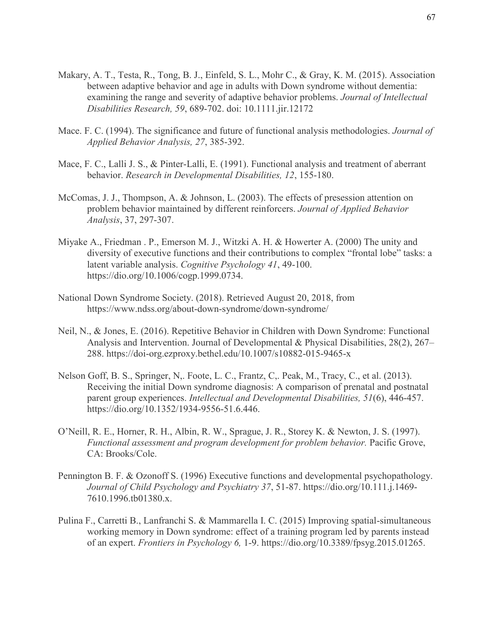- Makary, A. T., Testa, R., Tong, B. J., Einfeld, S. L., Mohr C., & Gray, K. M. (2015). Association between adaptive behavior and age in adults with Down syndrome without dementia: examining the range and severity of adaptive behavior problems. *Journal of Intellectual Disabilities Research, 59*, 689-702. doi: 10.1111.jir.12172
- Mace. F. C. (1994). The significance and future of functional analysis methodologies. *Journal of Applied Behavior Analysis, 27*, 385-392.
- Mace, F. C., Lalli J. S., & Pinter-Lalli, E. (1991). Functional analysis and treatment of aberrant behavior. *Research in Developmental Disabilities, 12*, 155-180.
- McComas, J. J., Thompson, A. & Johnson, L. (2003). The effects of presession attention on problem behavior maintained by different reinforcers. *Journal of Applied Behavior Analysis*, 37, 297-307.
- Miyake A., Friedman . P., Emerson M. J., Witzki A. H. & Howerter A. (2000) The unity and diversity of executive functions and their contributions to complex "frontal lobe" tasks: a latent variable analysis. *Cognitive Psychology 41*, 49-100. https://dio.org/10.1006/cogp.1999.0734.
- National Down Syndrome Society. (2018). Retrieved August 20, 2018, from https://www.ndss.org/about-down-syndrome/down-syndrome/
- Neil, N., & Jones, E. (2016). Repetitive Behavior in Children with Down Syndrome: Functional Analysis and Intervention. Journal of Developmental & Physical Disabilities, 28(2), 267– 288. https://doi-org.ezproxy.bethel.edu/10.1007/s10882-015-9465-x
- Nelson Goff, B. S., Springer, N,. Foote, L. C., Frantz, C,. Peak, M., Tracy, C., et al. (2013). Receiving the initial Down syndrome diagnosis: A comparison of prenatal and postnatal parent group experiences. *Intellectual and Developmental Disabilities, 51*(6), 446-457. https://dio.org/10.1352/1934-9556-51.6.446.
- O'Neill, R. E., Horner, R. H., Albin, R. W., Sprague, J. R., Storey K. & Newton, J. S. (1997). *Functional assessment and program development for problem behavior.* Pacific Grove, CA: Brooks/Cole.
- Pennington B. F. & Ozonoff S. (1996) Executive functions and developmental psychopathology. *Journal of Child Psychology and Psychiatry 37*, 51-87. https://dio.org/10.111.j.1469- 7610.1996.tb01380.x.
- Pulina F., Carretti B., Lanfranchi S. & Mammarella I. C. (2015) Improving spatial-simultaneous working memory in Down syndrome: effect of a training program led by parents instead of an expert. *Frontiers in Psychology 6,* 1-9. https://dio.org/10.3389/fpsyg.2015.01265.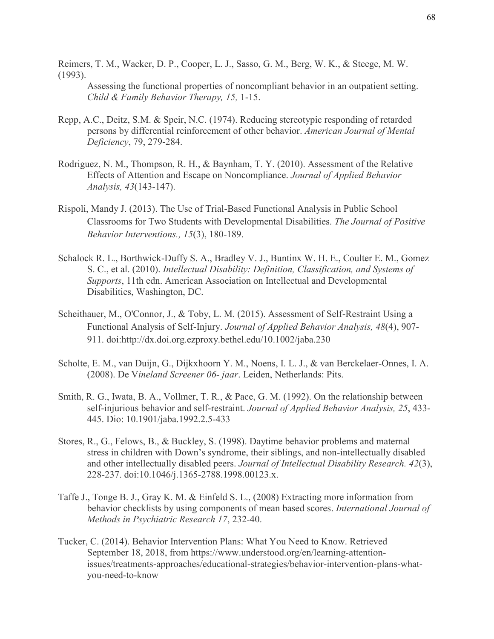Reimers, T. M., Wacker, D. P., Cooper, L. J., Sasso, G. M., Berg, W. K., & Steege, M. W. (1993).

Assessing the functional properties of noncompliant behavior in an outpatient setting. *Child & Family Behavior Therapy, 15,* 1-15.

- Repp, A.C., Deitz, S.M. & Speir, N.C. (1974). Reducing stereotypic responding of retarded persons by differential reinforcement of other behavior. *American Journal of Mental Deficiency*, 79, 279-284.
- Rodriguez, N. M., Thompson, R. H., & Baynham, T. Y. (2010). Assessment of the Relative Effects of Attention and Escape on Noncompliance. *Journal of Applied Behavior Analysis, 43*(143-147).
- Rispoli, Mandy J. (2013). The Use of Trial-Based Functional Analysis in Public School Classrooms for Two Students with Developmental Disabilities. *The Journal of Positive Behavior Interventions., 15*(3), 180-189.
- Schalock R. L., Borthwick-Duffy S. A., Bradley V. J., Buntinx W. H. E., Coulter E. M., Gomez S. C., et al. (2010). *Intellectual Disability: Definition, Classification, and Systems of Supports*, 11th edn. American Association on Intellectual and Developmental Disabilities, Washington, DC.
- Scheithauer, M., O'Connor, J., & Toby, L. M. (2015). Assessment of Self-Restraint Using a Functional Analysis of Self-Injury. *Journal of Applied Behavior Analysis, 48*(4), 907- 911. doi:http://dx.doi.org.ezproxy.bethel.edu/10.1002/jaba.230
- Scholte, E. M., van Duijn, G., Dijkxhoorn Y. M., Noens, I. L. J., & van Berckelaer-Onnes, I. A. (2008). De V*ineland Screener 06- jaar*. Leiden, Netherlands: Pits.
- Smith, R. G., Iwata, B. A., Vollmer, T. R., & Pace, G. M. (1992). On the relationship between self-injurious behavior and self-restraint. *Journal of Applied Behavior Analysis, 25*, 433- 445. Dio: 10.1901/jaba.1992.2.5-433
- Stores, R., G., Felows, B., & Buckley, S. (1998). Daytime behavior problems and maternal stress in children with Down's syndrome, their siblings, and non-intellectually disabled and other intellectually disabled peers. *Journal of Intellectual Disability Research. 42*(3), 228-237. doi:10.1046/j.1365-2788.1998.00123.x.
- Taffe J., Tonge B. J., Gray K. M. & Einfeld S. L., (2008) Extracting more information from behavior checklists by using components of mean based scores. *International Journal of Methods in Psychiatric Research 17*, 232-40.
- Tucker, C. (2014). Behavior Intervention Plans: What You Need to Know. Retrieved September 18, 2018, from https://www.understood.org/en/learning-attentionissues/treatments-approaches/educational-strategies/behavior-intervention-plans-whatyou-need-to-know